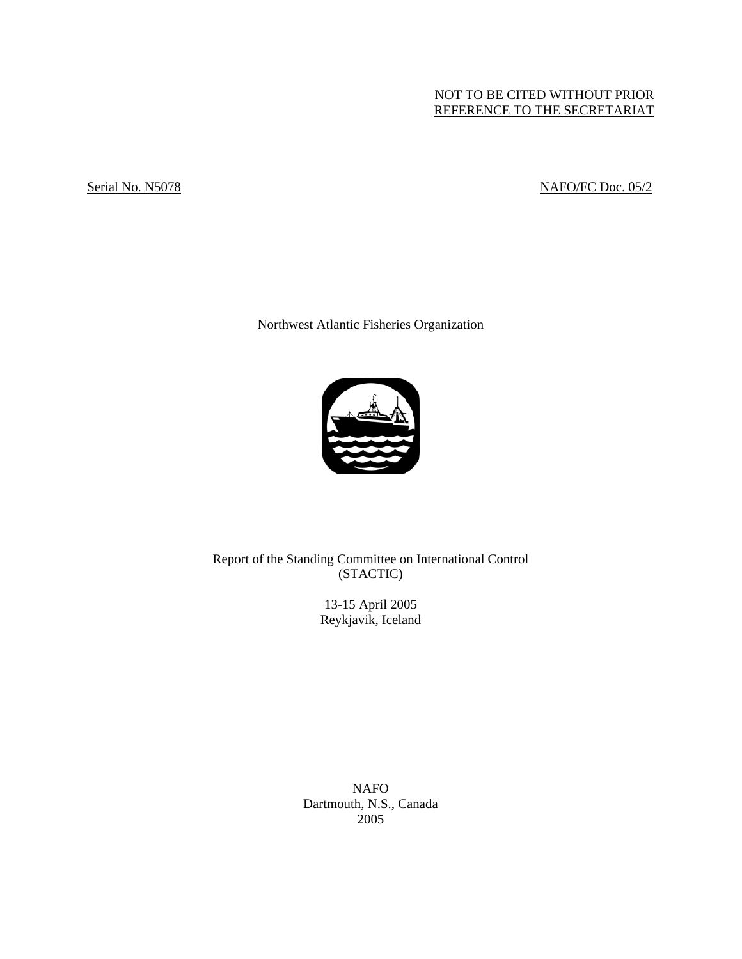# NOT TO BE CITED WITHOUT PRIOR REFERENCE TO THE SECRETARIAT

# Serial No. N5078 NAFO/FC Doc. 05/2

Northwest Atlantic Fisheries Organization



Report of the Standing Committee on International Control (STACTIC)

> 13-15 April 2005 Reykjavik, Iceland

NAFO Dartmouth, N.S., Canada 2005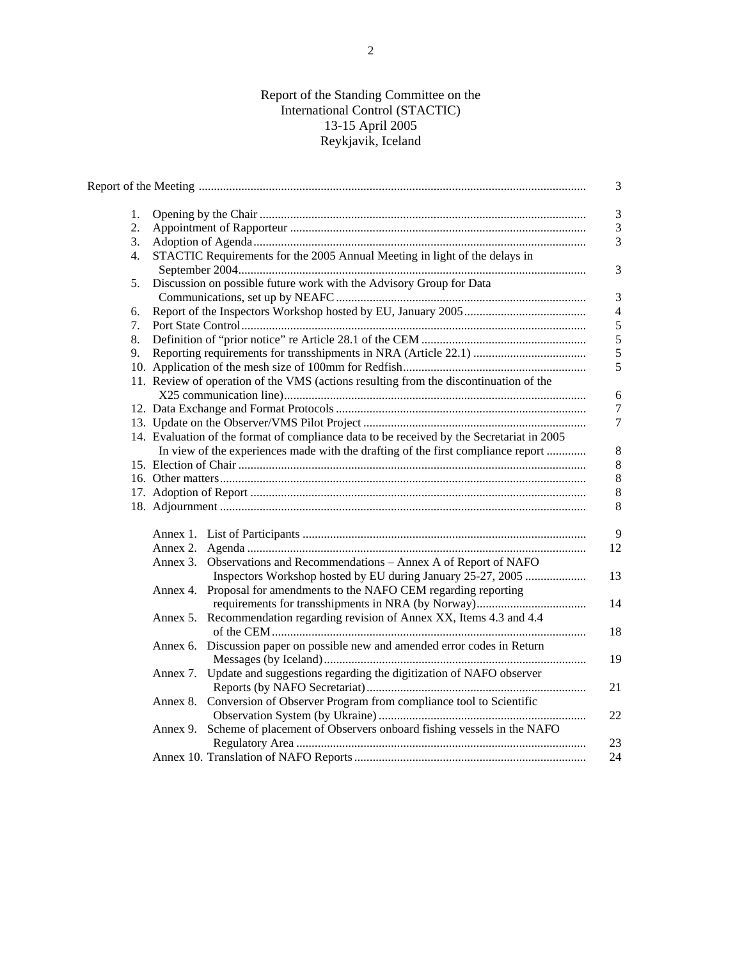# Report of the Standing Committee on the International Control (STACTIC) 13-15 April 2005 Reykjavik, Iceland

|    |                                                                                           | 3              |
|----|-------------------------------------------------------------------------------------------|----------------|
| 1. |                                                                                           | $\mathfrak{Z}$ |
| 2. |                                                                                           | $\mathfrak{Z}$ |
| 3. |                                                                                           | 3              |
| 4. | STACTIC Requirements for the 2005 Annual Meeting in light of the delays in                |                |
|    |                                                                                           | 3              |
| 5. | Discussion on possible future work with the Advisory Group for Data                       | $\mathfrak{Z}$ |
| 6. |                                                                                           | $\overline{4}$ |
| 7. |                                                                                           | $\sqrt{5}$     |
| 8. |                                                                                           | 5              |
| 9. |                                                                                           | 5              |
|    |                                                                                           | 5              |
|    | 11. Review of operation of the VMS (actions resulting from the discontinuation of the     |                |
|    |                                                                                           |                |
|    |                                                                                           | $\sqrt{6}$     |
|    |                                                                                           | 7              |
|    |                                                                                           | $\tau$         |
|    | 14. Evaluation of the format of compliance data to be received by the Secretariat in 2005 |                |
|    | In view of the experiences made with the drafting of the first compliance report          | $\,8\,$        |
|    |                                                                                           | $8\,$          |
|    |                                                                                           | $\,8\,$        |
|    |                                                                                           | $\,8\,$        |
|    |                                                                                           | $\,8\,$        |
|    |                                                                                           | 9              |
|    |                                                                                           | 12             |
|    | Annex 3. Observations and Recommendations - Annex A of Report of NAFO                     |                |
|    | Inspectors Workshop hosted by EU during January 25-27, 2005                               | 13             |
|    | Annex 4. Proposal for amendments to the NAFO CEM regarding reporting                      |                |
|    |                                                                                           | 14             |
|    | Annex 5. Recommendation regarding revision of Annex XX, Items 4.3 and 4.4                 | 18             |
|    | Annex 6. Discussion paper on possible new and amended error codes in Return               | 19             |
|    | Update and suggestions regarding the digitization of NAFO observer<br>Annex 7.            | 21             |
|    | Annex 8. Conversion of Observer Program from compliance tool to Scientific                | 22             |
|    | Scheme of placement of Observers onboard fishing vessels in the NAFO<br>Annex 9.          | 23             |
|    |                                                                                           | 24             |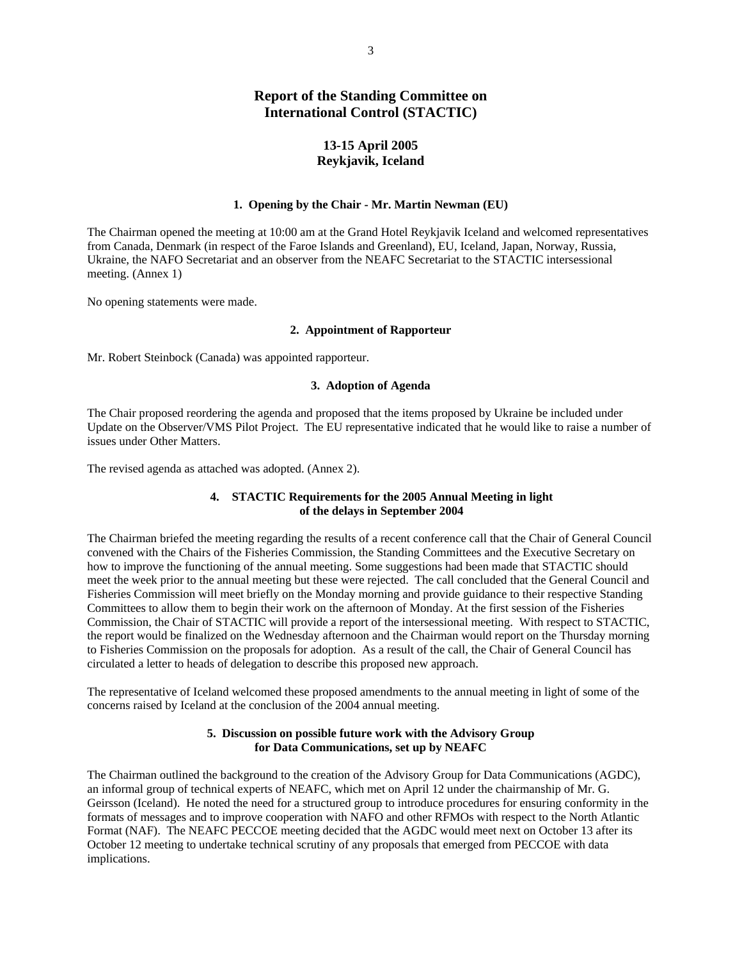# **Report of the Standing Committee on International Control (STACTIC)**

# **13-15 April 2005 Reykjavik, Iceland**

#### **1. Opening by the Chair - Mr. Martin Newman (EU)**

The Chairman opened the meeting at 10:00 am at the Grand Hotel Reykjavik Iceland and welcomed representatives from Canada, Denmark (in respect of the Faroe Islands and Greenland), EU, Iceland, Japan, Norway, Russia, Ukraine, the NAFO Secretariat and an observer from the NEAFC Secretariat to the STACTIC intersessional meeting. (Annex 1)

No opening statements were made.

# **2. Appointment of Rapporteur**

Mr. Robert Steinbock (Canada) was appointed rapporteur.

# **3. Adoption of Agenda**

The Chair proposed reordering the agenda and proposed that the items proposed by Ukraine be included under Update on the Observer/VMS Pilot Project. The EU representative indicated that he would like to raise a number of issues under Other Matters.

The revised agenda as attached was adopted. (Annex 2).

# **4. STACTIC Requirements for the 2005 Annual Meeting in light of the delays in September 2004**

The Chairman briefed the meeting regarding the results of a recent conference call that the Chair of General Council convened with the Chairs of the Fisheries Commission, the Standing Committees and the Executive Secretary on how to improve the functioning of the annual meeting. Some suggestions had been made that STACTIC should meet the week prior to the annual meeting but these were rejected. The call concluded that the General Council and Fisheries Commission will meet briefly on the Monday morning and provide guidance to their respective Standing Committees to allow them to begin their work on the afternoon of Monday. At the first session of the Fisheries Commission, the Chair of STACTIC will provide a report of the intersessional meeting. With respect to STACTIC, the report would be finalized on the Wednesday afternoon and the Chairman would report on the Thursday morning to Fisheries Commission on the proposals for adoption. As a result of the call, the Chair of General Council has circulated a letter to heads of delegation to describe this proposed new approach.

The representative of Iceland welcomed these proposed amendments to the annual meeting in light of some of the concerns raised by Iceland at the conclusion of the 2004 annual meeting.

# **5. Discussion on possible future work with the Advisory Group for Data Communications, set up by NEAFC**

The Chairman outlined the background to the creation of the Advisory Group for Data Communications (AGDC), an informal group of technical experts of NEAFC, which met on April 12 under the chairmanship of Mr. G. Geirsson (Iceland). He noted the need for a structured group to introduce procedures for ensuring conformity in the formats of messages and to improve cooperation with NAFO and other RFMOs with respect to the North Atlantic Format (NAF). The NEAFC PECCOE meeting decided that the AGDC would meet next on October 13 after its October 12 meeting to undertake technical scrutiny of any proposals that emerged from PECCOE with data implications.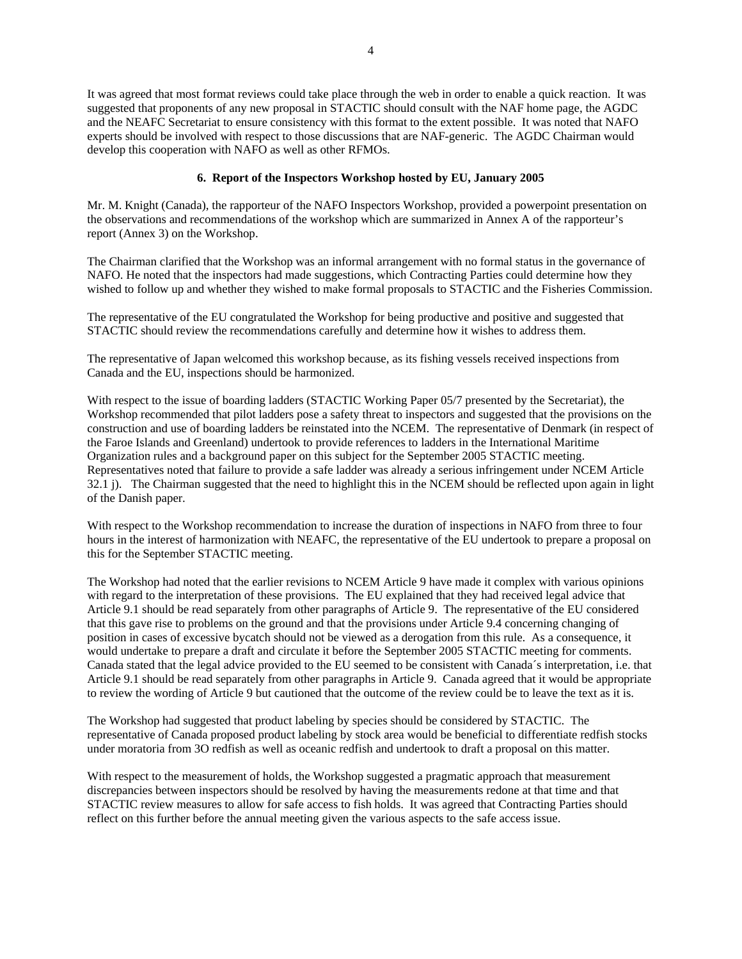It was agreed that most format reviews could take place through the web in order to enable a quick reaction. It was suggested that proponents of any new proposal in STACTIC should consult with the NAF home page, the AGDC and the NEAFC Secretariat to ensure consistency with this format to the extent possible. It was noted that NAFO experts should be involved with respect to those discussions that are NAF-generic. The AGDC Chairman would develop this cooperation with NAFO as well as other RFMOs.

# **6. Report of the Inspectors Workshop hosted by EU, January 2005**

Mr. M. Knight (Canada), the rapporteur of the NAFO Inspectors Workshop, provided a powerpoint presentation on the observations and recommendations of the workshop which are summarized in Annex A of the rapporteur's report (Annex 3) on the Workshop.

The Chairman clarified that the Workshop was an informal arrangement with no formal status in the governance of NAFO. He noted that the inspectors had made suggestions, which Contracting Parties could determine how they wished to follow up and whether they wished to make formal proposals to STACTIC and the Fisheries Commission.

The representative of the EU congratulated the Workshop for being productive and positive and suggested that STACTIC should review the recommendations carefully and determine how it wishes to address them.

The representative of Japan welcomed this workshop because, as its fishing vessels received inspections from Canada and the EU, inspections should be harmonized.

With respect to the issue of boarding ladders (STACTIC Working Paper 05/7 presented by the Secretariat), the Workshop recommended that pilot ladders pose a safety threat to inspectors and suggested that the provisions on the construction and use of boarding ladders be reinstated into the NCEM. The representative of Denmark (in respect of the Faroe Islands and Greenland) undertook to provide references to ladders in the International Maritime Organization rules and a background paper on this subject for the September 2005 STACTIC meeting. Representatives noted that failure to provide a safe ladder was already a serious infringement under NCEM Article 32.1 j). The Chairman suggested that the need to highlight this in the NCEM should be reflected upon again in light of the Danish paper.

With respect to the Workshop recommendation to increase the duration of inspections in NAFO from three to four hours in the interest of harmonization with NEAFC, the representative of the EU undertook to prepare a proposal on this for the September STACTIC meeting.

The Workshop had noted that the earlier revisions to NCEM Article 9 have made it complex with various opinions with regard to the interpretation of these provisions. The EU explained that they had received legal advice that Article 9.1 should be read separately from other paragraphs of Article 9. The representative of the EU considered that this gave rise to problems on the ground and that the provisions under Article 9.4 concerning changing of position in cases of excessive bycatch should not be viewed as a derogation from this rule. As a consequence, it would undertake to prepare a draft and circulate it before the September 2005 STACTIC meeting for comments. Canada stated that the legal advice provided to the EU seemed to be consistent with Canada´s interpretation, i.e. that Article 9.1 should be read separately from other paragraphs in Article 9. Canada agreed that it would be appropriate to review the wording of Article 9 but cautioned that the outcome of the review could be to leave the text as it is.

The Workshop had suggested that product labeling by species should be considered by STACTIC. The representative of Canada proposed product labeling by stock area would be beneficial to differentiate redfish stocks under moratoria from 3O redfish as well as oceanic redfish and undertook to draft a proposal on this matter.

With respect to the measurement of holds, the Workshop suggested a pragmatic approach that measurement discrepancies between inspectors should be resolved by having the measurements redone at that time and that STACTIC review measures to allow for safe access to fish holds. It was agreed that Contracting Parties should reflect on this further before the annual meeting given the various aspects to the safe access issue.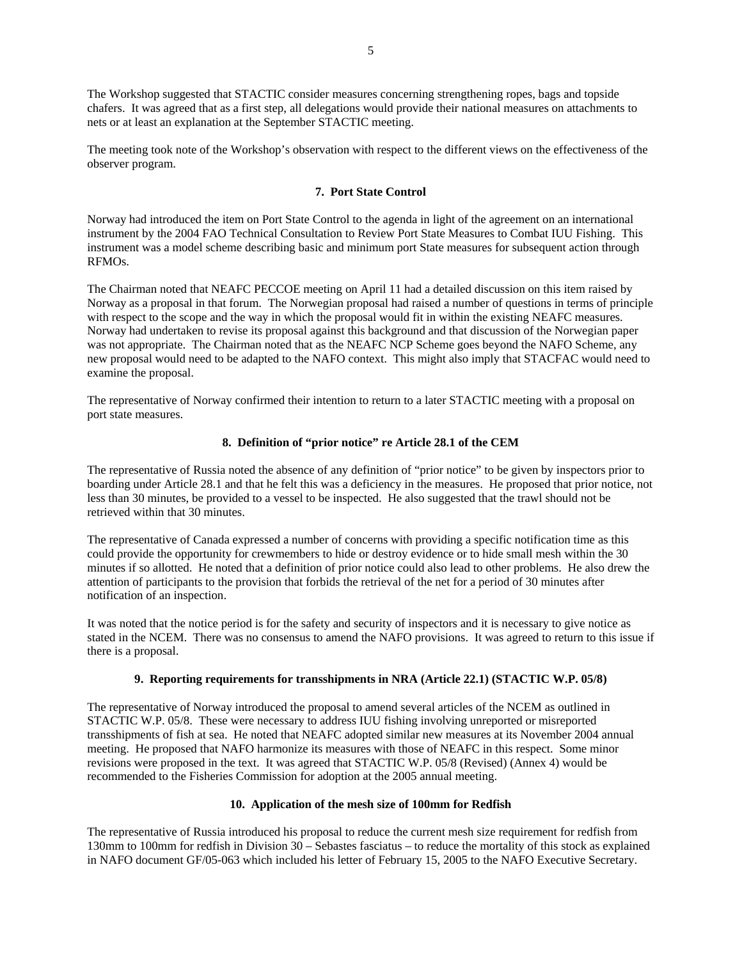The Workshop suggested that STACTIC consider measures concerning strengthening ropes, bags and topside chafers. It was agreed that as a first step, all delegations would provide their national measures on attachments to nets or at least an explanation at the September STACTIC meeting.

The meeting took note of the Workshop's observation with respect to the different views on the effectiveness of the observer program.

# **7. Port State Control**

Norway had introduced the item on Port State Control to the agenda in light of the agreement on an international instrument by the 2004 FAO Technical Consultation to Review Port State Measures to Combat IUU Fishing. This instrument was a model scheme describing basic and minimum port State measures for subsequent action through RFMOs.

The Chairman noted that NEAFC PECCOE meeting on April 11 had a detailed discussion on this item raised by Norway as a proposal in that forum. The Norwegian proposal had raised a number of questions in terms of principle with respect to the scope and the way in which the proposal would fit in within the existing NEAFC measures. Norway had undertaken to revise its proposal against this background and that discussion of the Norwegian paper was not appropriate. The Chairman noted that as the NEAFC NCP Scheme goes beyond the NAFO Scheme, any new proposal would need to be adapted to the NAFO context. This might also imply that STACFAC would need to examine the proposal.

The representative of Norway confirmed their intention to return to a later STACTIC meeting with a proposal on port state measures.

# **8. Definition of "prior notice" re Article 28.1 of the CEM**

The representative of Russia noted the absence of any definition of "prior notice" to be given by inspectors prior to boarding under Article 28.1 and that he felt this was a deficiency in the measures. He proposed that prior notice, not less than 30 minutes, be provided to a vessel to be inspected. He also suggested that the trawl should not be retrieved within that 30 minutes.

The representative of Canada expressed a number of concerns with providing a specific notification time as this could provide the opportunity for crewmembers to hide or destroy evidence or to hide small mesh within the 30 minutes if so allotted. He noted that a definition of prior notice could also lead to other problems. He also drew the attention of participants to the provision that forbids the retrieval of the net for a period of 30 minutes after notification of an inspection.

It was noted that the notice period is for the safety and security of inspectors and it is necessary to give notice as stated in the NCEM. There was no consensus to amend the NAFO provisions. It was agreed to return to this issue if there is a proposal.

# **9. Reporting requirements for transshipments in NRA (Article 22.1) (STACTIC W.P. 05/8)**

The representative of Norway introduced the proposal to amend several articles of the NCEM as outlined in STACTIC W.P. 05/8. These were necessary to address IUU fishing involving unreported or misreported transshipments of fish at sea. He noted that NEAFC adopted similar new measures at its November 2004 annual meeting. He proposed that NAFO harmonize its measures with those of NEAFC in this respect. Some minor revisions were proposed in the text. It was agreed that STACTIC W.P. 05/8 (Revised) (Annex 4) would be recommended to the Fisheries Commission for adoption at the 2005 annual meeting.

# **10. Application of the mesh size of 100mm for Redfish**

The representative of Russia introduced his proposal to reduce the current mesh size requirement for redfish from 130mm to 100mm for redfish in Division 30 – Sebastes fasciatus – to reduce the mortality of this stock as explained in NAFO document GF/05-063 which included his letter of February 15, 2005 to the NAFO Executive Secretary.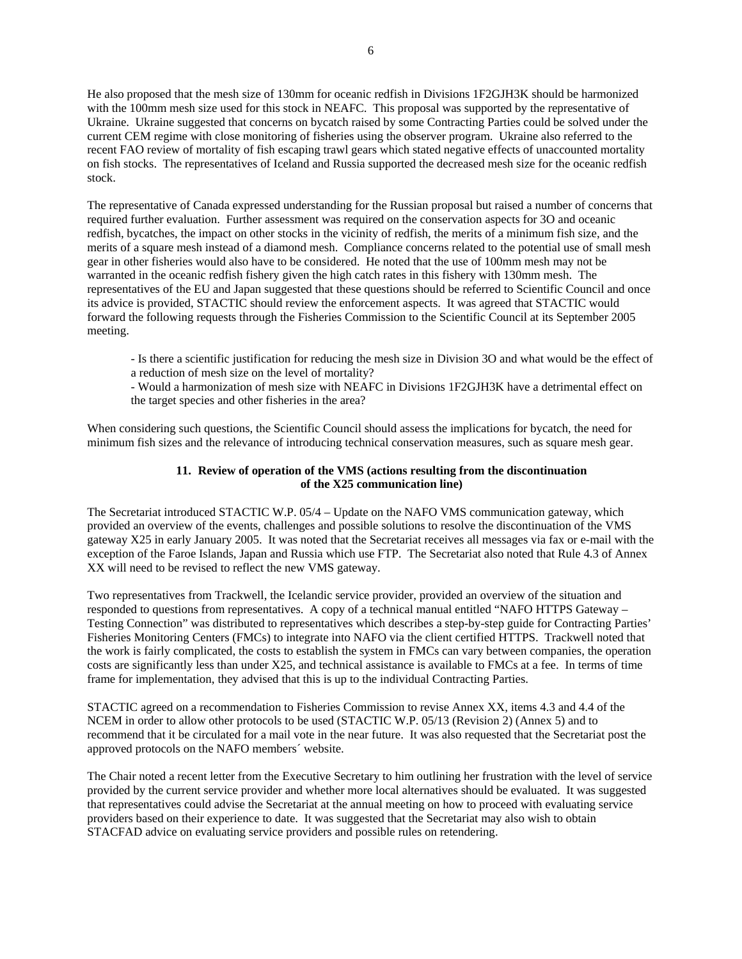He also proposed that the mesh size of 130mm for oceanic redfish in Divisions 1F2GJH3K should be harmonized with the 100mm mesh size used for this stock in NEAFC. This proposal was supported by the representative of Ukraine. Ukraine suggested that concerns on bycatch raised by some Contracting Parties could be solved under the current CEM regime with close monitoring of fisheries using the observer program. Ukraine also referred to the recent FAO review of mortality of fish escaping trawl gears which stated negative effects of unaccounted mortality on fish stocks. The representatives of Iceland and Russia supported the decreased mesh size for the oceanic redfish stock.

The representative of Canada expressed understanding for the Russian proposal but raised a number of concerns that required further evaluation. Further assessment was required on the conservation aspects for 3O and oceanic redfish, bycatches, the impact on other stocks in the vicinity of redfish, the merits of a minimum fish size, and the merits of a square mesh instead of a diamond mesh. Compliance concerns related to the potential use of small mesh gear in other fisheries would also have to be considered. He noted that the use of 100mm mesh may not be warranted in the oceanic redfish fishery given the high catch rates in this fishery with 130mm mesh. The representatives of the EU and Japan suggested that these questions should be referred to Scientific Council and once its advice is provided, STACTIC should review the enforcement aspects. It was agreed that STACTIC would forward the following requests through the Fisheries Commission to the Scientific Council at its September 2005 meeting.

- Is there a scientific justification for reducing the mesh size in Division 3O and what would be the effect of a reduction of mesh size on the level of mortality?

- Would a harmonization of mesh size with NEAFC in Divisions 1F2GJH3K have a detrimental effect on the target species and other fisheries in the area?

When considering such questions, the Scientific Council should assess the implications for bycatch, the need for minimum fish sizes and the relevance of introducing technical conservation measures, such as square mesh gear.

# **11. Review of operation of the VMS (actions resulting from the discontinuation of the X25 communication line)**

The Secretariat introduced STACTIC W.P. 05/4 – Update on the NAFO VMS communication gateway, which provided an overview of the events, challenges and possible solutions to resolve the discontinuation of the VMS gateway X25 in early January 2005. It was noted that the Secretariat receives all messages via fax or e-mail with the exception of the Faroe Islands, Japan and Russia which use FTP. The Secretariat also noted that Rule 4.3 of Annex XX will need to be revised to reflect the new VMS gateway.

Two representatives from Trackwell, the Icelandic service provider, provided an overview of the situation and responded to questions from representatives. A copy of a technical manual entitled "NAFO HTTPS Gateway – Testing Connection" was distributed to representatives which describes a step-by-step guide for Contracting Parties' Fisheries Monitoring Centers (FMCs) to integrate into NAFO via the client certified HTTPS. Trackwell noted that the work is fairly complicated, the costs to establish the system in FMCs can vary between companies, the operation costs are significantly less than under X25, and technical assistance is available to FMCs at a fee. In terms of time frame for implementation, they advised that this is up to the individual Contracting Parties.

STACTIC agreed on a recommendation to Fisheries Commission to revise Annex XX, items 4.3 and 4.4 of the NCEM in order to allow other protocols to be used (STACTIC W.P. 05/13 (Revision 2) (Annex 5) and to recommend that it be circulated for a mail vote in the near future. It was also requested that the Secretariat post the approved protocols on the NAFO members´ website.

The Chair noted a recent letter from the Executive Secretary to him outlining her frustration with the level of service provided by the current service provider and whether more local alternatives should be evaluated. It was suggested that representatives could advise the Secretariat at the annual meeting on how to proceed with evaluating service providers based on their experience to date. It was suggested that the Secretariat may also wish to obtain STACFAD advice on evaluating service providers and possible rules on retendering.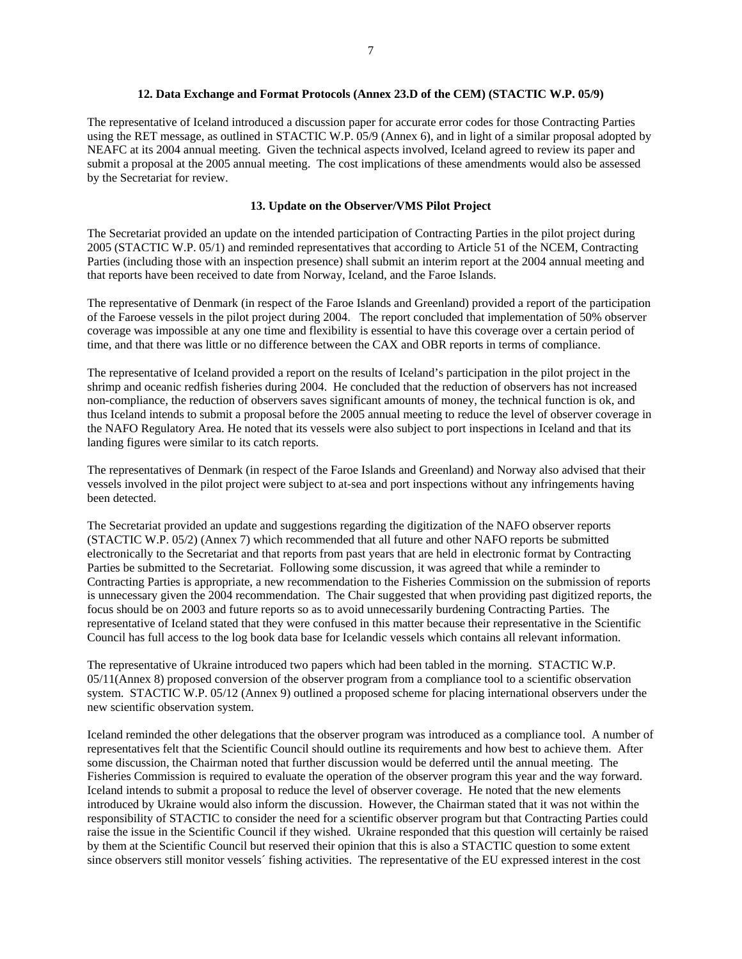# **12. Data Exchange and Format Protocols (Annex 23.D of the CEM) (STACTIC W.P. 05/9)**

The representative of Iceland introduced a discussion paper for accurate error codes for those Contracting Parties using the RET message, as outlined in STACTIC W.P. 05/9 (Annex 6), and in light of a similar proposal adopted by NEAFC at its 2004 annual meeting. Given the technical aspects involved, Iceland agreed to review its paper and submit a proposal at the 2005 annual meeting. The cost implications of these amendments would also be assessed by the Secretariat for review.

# **13. Update on the Observer/VMS Pilot Project**

The Secretariat provided an update on the intended participation of Contracting Parties in the pilot project during 2005 (STACTIC W.P. 05/1) and reminded representatives that according to Article 51 of the NCEM, Contracting Parties (including those with an inspection presence) shall submit an interim report at the 2004 annual meeting and that reports have been received to date from Norway, Iceland, and the Faroe Islands.

The representative of Denmark (in respect of the Faroe Islands and Greenland) provided a report of the participation of the Faroese vessels in the pilot project during 2004. The report concluded that implementation of 50% observer coverage was impossible at any one time and flexibility is essential to have this coverage over a certain period of time, and that there was little or no difference between the CAX and OBR reports in terms of compliance.

The representative of Iceland provided a report on the results of Iceland's participation in the pilot project in the shrimp and oceanic redfish fisheries during 2004. He concluded that the reduction of observers has not increased non-compliance, the reduction of observers saves significant amounts of money, the technical function is ok, and thus Iceland intends to submit a proposal before the 2005 annual meeting to reduce the level of observer coverage in the NAFO Regulatory Area. He noted that its vessels were also subject to port inspections in Iceland and that its landing figures were similar to its catch reports.

The representatives of Denmark (in respect of the Faroe Islands and Greenland) and Norway also advised that their vessels involved in the pilot project were subject to at-sea and port inspections without any infringements having been detected.

The Secretariat provided an update and suggestions regarding the digitization of the NAFO observer reports (STACTIC W.P. 05/2) (Annex 7) which recommended that all future and other NAFO reports be submitted electronically to the Secretariat and that reports from past years that are held in electronic format by Contracting Parties be submitted to the Secretariat. Following some discussion, it was agreed that while a reminder to Contracting Parties is appropriate, a new recommendation to the Fisheries Commission on the submission of reports is unnecessary given the 2004 recommendation. The Chair suggested that when providing past digitized reports, the focus should be on 2003 and future reports so as to avoid unnecessarily burdening Contracting Parties. The representative of Iceland stated that they were confused in this matter because their representative in the Scientific Council has full access to the log book data base for Icelandic vessels which contains all relevant information.

The representative of Ukraine introduced two papers which had been tabled in the morning. STACTIC W.P. 05/11(Annex 8) proposed conversion of the observer program from a compliance tool to a scientific observation system. STACTIC W.P. 05/12 (Annex 9) outlined a proposed scheme for placing international observers under the new scientific observation system.

Iceland reminded the other delegations that the observer program was introduced as a compliance tool. A number of representatives felt that the Scientific Council should outline its requirements and how best to achieve them. After some discussion, the Chairman noted that further discussion would be deferred until the annual meeting. The Fisheries Commission is required to evaluate the operation of the observer program this year and the way forward. Iceland intends to submit a proposal to reduce the level of observer coverage. He noted that the new elements introduced by Ukraine would also inform the discussion. However, the Chairman stated that it was not within the responsibility of STACTIC to consider the need for a scientific observer program but that Contracting Parties could raise the issue in the Scientific Council if they wished. Ukraine responded that this question will certainly be raised by them at the Scientific Council but reserved their opinion that this is also a STACTIC question to some extent since observers still monitor vessels´ fishing activities. The representative of the EU expressed interest in the cost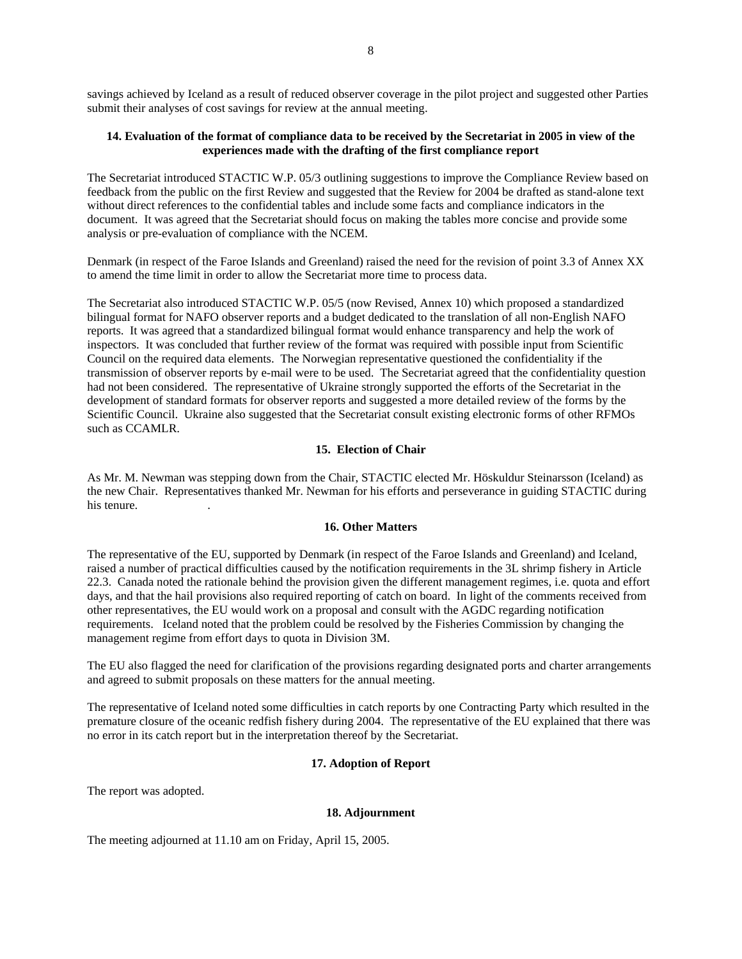savings achieved by Iceland as a result of reduced observer coverage in the pilot project and suggested other Parties submit their analyses of cost savings for review at the annual meeting.

# **14. Evaluation of the format of compliance data to be received by the Secretariat in 2005 in view of the experiences made with the drafting of the first compliance report**

The Secretariat introduced STACTIC W.P. 05/3 outlining suggestions to improve the Compliance Review based on feedback from the public on the first Review and suggested that the Review for 2004 be drafted as stand-alone text without direct references to the confidential tables and include some facts and compliance indicators in the document. It was agreed that the Secretariat should focus on making the tables more concise and provide some analysis or pre-evaluation of compliance with the NCEM.

Denmark (in respect of the Faroe Islands and Greenland) raised the need for the revision of point 3.3 of Annex XX to amend the time limit in order to allow the Secretariat more time to process data.

The Secretariat also introduced STACTIC W.P. 05/5 (now Revised, Annex 10) which proposed a standardized bilingual format for NAFO observer reports and a budget dedicated to the translation of all non-English NAFO reports. It was agreed that a standardized bilingual format would enhance transparency and help the work of inspectors. It was concluded that further review of the format was required with possible input from Scientific Council on the required data elements. The Norwegian representative questioned the confidentiality if the transmission of observer reports by e-mail were to be used. The Secretariat agreed that the confidentiality question had not been considered. The representative of Ukraine strongly supported the efforts of the Secretariat in the development of standard formats for observer reports and suggested a more detailed review of the forms by the Scientific Council. Ukraine also suggested that the Secretariat consult existing electronic forms of other RFMOs such as CCAMLR.

# **15. Election of Chair**

As Mr. M. Newman was stepping down from the Chair, STACTIC elected Mr. Höskuldur Steinarsson (Iceland) as the new Chair. Representatives thanked Mr. Newman for his efforts and perseverance in guiding STACTIC during his tenure.

# **16. Other Matters**

The representative of the EU, supported by Denmark (in respect of the Faroe Islands and Greenland) and Iceland, raised a number of practical difficulties caused by the notification requirements in the 3L shrimp fishery in Article 22.3. Canada noted the rationale behind the provision given the different management regimes, i.e. quota and effort days, and that the hail provisions also required reporting of catch on board. In light of the comments received from other representatives, the EU would work on a proposal and consult with the AGDC regarding notification requirements. Iceland noted that the problem could be resolved by the Fisheries Commission by changing the management regime from effort days to quota in Division 3M.

The EU also flagged the need for clarification of the provisions regarding designated ports and charter arrangements and agreed to submit proposals on these matters for the annual meeting.

The representative of Iceland noted some difficulties in catch reports by one Contracting Party which resulted in the premature closure of the oceanic redfish fishery during 2004. The representative of the EU explained that there was no error in its catch report but in the interpretation thereof by the Secretariat.

# **17. Adoption of Report**

The report was adopted.

# **18. Adjournment**

The meeting adjourned at 11.10 am on Friday, April 15, 2005.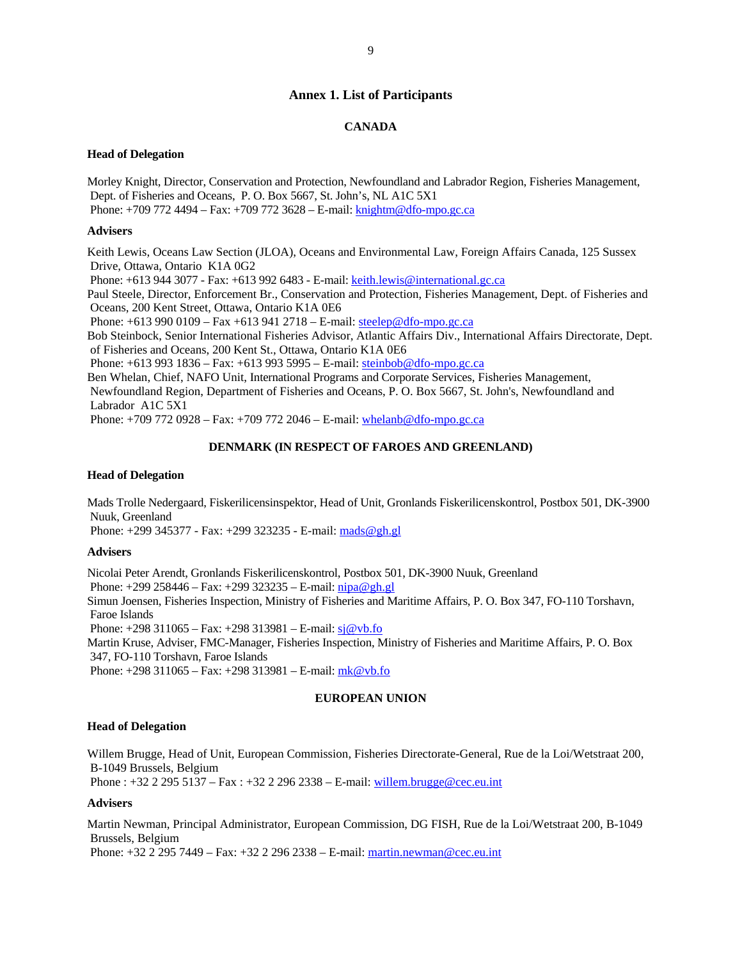# **Annex 1. List of Participants**

# **CANADA**

# **Head of Delegation**

Morley Knight, Director, Conservation and Protection, Newfoundland and Labrador Region, Fisheries Management, Dept. of Fisheries and Oceans, P. O. Box 5667, St. John's, NL A1C 5X1 Phone: +709 772 4494 – Fax: +709 772 3628 – E-mail: knightm@dfo-mpo.gc.ca

#### **Advisers**

Keith Lewis, Oceans Law Section (JLOA), Oceans and Environmental Law, Foreign Affairs Canada, 125 Sussex Drive, Ottawa, Ontario K1A 0G2 Phone: +613 944 3077 - Fax: +613 992 6483 - E-mail: keith.lewis@international.gc.ca Paul Steele, Director, Enforcement Br., Conservation and Protection, Fisheries Management, Dept. of Fisheries and Oceans, 200 Kent Street, Ottawa, Ontario K1A 0E6 Phone: +613 990 0109 – Fax +613 941 2718 – E-mail: steelep@dfo-mpo.gc.ca Bob Steinbock, Senior International Fisheries Advisor, Atlantic Affairs Div., International Affairs Directorate, Dept. of Fisheries and Oceans, 200 Kent St., Ottawa, Ontario K1A 0E6 Phone: +613 993 1836 – Fax: +613 993 5995 – E-mail: steinbob@dfo-mpo.gc.ca Ben Whelan, Chief, NAFO Unit, International Programs and Corporate Services, Fisheries Management, Newfoundland Region, Department of Fisheries and Oceans, P. O. Box 5667, St. John's, Newfoundland and Labrador A1C 5X1 Phone: +709 772 0928 – Fax: +709 772 2046 – E-mail: whelanb@dfo-mpo.gc.ca

# **DENMARK (IN RESPECT OF FAROES AND GREENLAND)**

#### **Head of Delegation**

Mads Trolle Nedergaard, Fiskerilicensinspektor, Head of Unit, Gronlands Fiskerilicenskontrol, Postbox 501, DK-3900 Nuuk, Greenland

Phone: +299 345377 - Fax: +299 323235 - E-mail: mads@gh.gl

#### **Advisers**

Nicolai Peter Arendt, Gronlands Fiskerilicenskontrol, Postbox 501, DK-3900 Nuuk, Greenland

Phone: +299 258446 – Fax: +299 323235 – E-mail: nipa@gh.gl

Simun Joensen, Fisheries Inspection, Ministry of Fisheries and Maritime Affairs, P. O. Box 347, FO-110 Torshavn, Faroe Islands

Phone:  $+298\,311065 - Fax$ :  $+298\,313981 - E-mail$ :  $si@vb.fo$ 

Martin Kruse, Adviser, FMC-Manager, Fisheries Inspection, Ministry of Fisheries and Maritime Affairs, P. O. Box 347, FO-110 Torshavn, Faroe Islands

Phone: +298 311065 – Fax: +298 313981 – E-mail: mk@vb.fo

# **EUROPEAN UNION**

#### **Head of Delegation**

Willem Brugge, Head of Unit, European Commission, Fisheries Directorate-General, Rue de la Loi/Wetstraat 200, B-1049 Brussels, Belgium

Phone : +32 2 295 5137 – Fax : +32 2 296 2338 – E-mail: willem.brugge@cec.eu.int

#### **Advisers**

Martin Newman, Principal Administrator, European Commission, DG FISH, Rue de la Loi/Wetstraat 200, B-1049 Brussels, Belgium

Phone: +32 2 295 7449 – Fax: +32 2 296 2338 – E-mail: martin.newman@cec.eu.int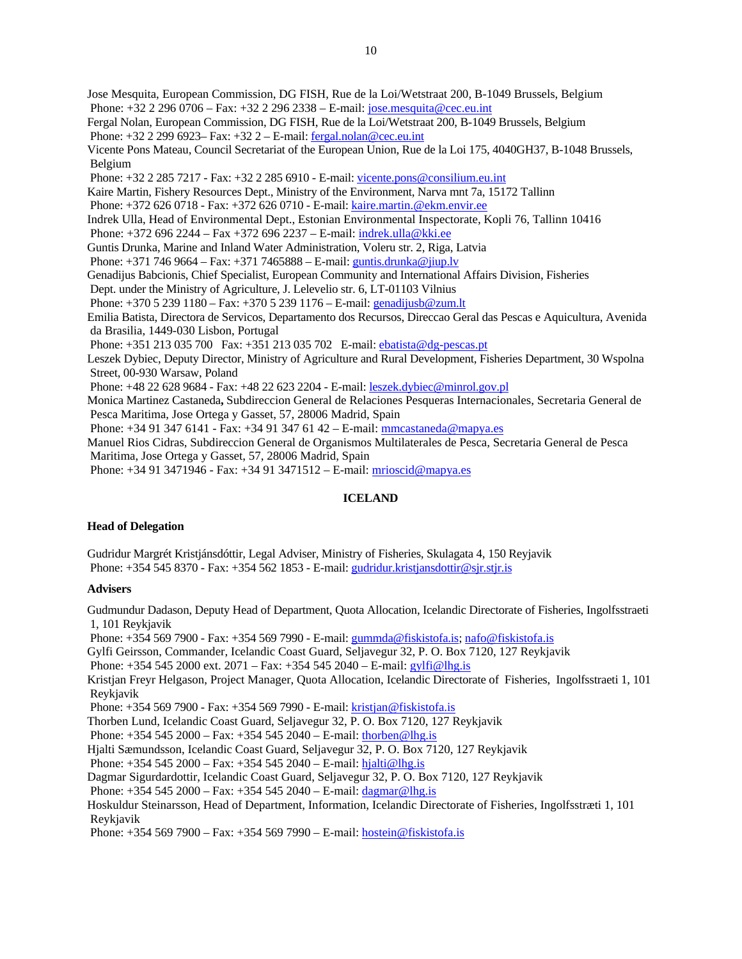Jose Mesquita, European Commission, DG FISH, Rue de la Loi/Wetstraat 200, B-1049 Brussels, Belgium Phone:  $+32$  2 296 0706 – Fax:  $+32$  2 296 2338 – E-mail: jose.mesquita@cec.eu.int Fergal Nolan, European Commission, DG FISH, Rue de la Loi/Wetstraat 200, B-1049 Brussels, Belgium Phone: +32 2 299 6923– Fax: +32 2 – E-mail: fergal.nolan@cec.eu.int Vicente Pons Mateau, Council Secretariat of the European Union, Rue de la Loi 175, 4040GH37, B-1048 Brussels, Belgium Phone: +32 2 285 7217 - Fax: +32 2 285 6910 - E-mail: vicente.pons@consilium.eu.int Kaire Martin, Fishery Resources Dept., Ministry of the Environment, Narva mnt 7a, 15172 Tallinn Phone: +372 626 0718 - Fax: +372 626 0710 - E-mail: kaire.martin.@ekm.envir.ee Indrek Ulla, Head of Environmental Dept., Estonian Environmental Inspectorate, Kopli 76, Tallinn 10416 Phone: +372 696 2244 – Fax +372 696 2237 – E-mail: indrek.ulla@kki.ee Guntis Drunka, Marine and Inland Water Administration, Voleru str. 2, Riga, Latvia Phone:  $+3717469664 - Fax: +3717465888 - E-mail:$  guntis.drunka@jiup.lv Genadijus Babcionis, Chief Specialist, European Community and International Affairs Division, Fisheries Dept. under the Ministry of Agriculture, J. Lelevelio str. 6, LT-01103 Vilnius Phone: +370 5 239 1180 – Fax: +370 5 239 1176 – E-mail: genadijusb@zum.lt Emilia Batista, Directora de Servicos, Departamento dos Recursos, Direccao Geral das Pescas e Aquicultura, Avenida da Brasilia, 1449-030 Lisbon, Portugal Phone: +351 213 035 700 Fax: +351 213 035 702 E-mail: ebatista@dg-pescas.pt Leszek Dybiec, Deputy Director, Ministry of Agriculture and Rural Development, Fisheries Department, 30 Wspolna Street, 00-930 Warsaw, Poland Phone: +48 22 628 9684 - Fax: +48 22 623 2204 - E-mail: leszek.dybiec@minrol.gov.pl Monica Martinez Castaneda**,** Subdireccion General de Relaciones Pesqueras Internacionales, Secretaria General de Pesca Maritima, Jose Ortega y Gasset, 57, 28006 Madrid, Spain Phone: +34 91 347 6141 - Fax: +34 91 347 61 42 – E-mail: mmcastaneda@mapya.es Manuel Rios Cidras, Subdireccion General de Organismos Multilaterales de Pesca, Secretaria General de Pesca Maritima, Jose Ortega y Gasset, 57, 28006 Madrid, Spain

Phone: +34 91 3471946 - Fax: +34 91 3471512 – E-mail: mrioscid@mapya.es

# **ICELAND**

# **Head of Delegation**

Gudridur Margrét Kristjánsdóttir, Legal Adviser, Ministry of Fisheries, Skulagata 4, 150 Reyjavik Phone: +354 545 8370 - Fax: +354 562 1853 - E-mail: gudridur.kristjansdottir@sjr.stjr.is

# **Advisers**

Gudmundur Dadason, Deputy Head of Department, Quota Allocation, Icelandic Directorate of Fisheries, Ingolfsstraeti 1, 101 Reykjavik

Phone: +354 569 7900 - Fax: +354 569 7990 - E-mail: gummda@fiskistofa.is; nafo@fiskistofa.is

Gylfi Geirsson, Commander, Icelandic Coast Guard, Seljavegur 32, P. O. Box 7120, 127 Reykjavik

Phone: +354 545 2000 ext. 2071 – Fax: +354 545 2040 – E-mail: gylfi@lhg.is

Kristjan Freyr Helgason, Project Manager, Quota Allocation, Icelandic Directorate of Fisheries, Ingolfsstraeti 1, 101 Reykjavik

Phone: +354 569 7900 - Fax: +354 569 7990 - E-mail: kristjan@fiskistofa.is

Thorben Lund, Icelandic Coast Guard, Seljavegur 32, P. O. Box 7120, 127 Reykjavik

Phone: +354 545 2000 – Fax: +354 545 2040 – E-mail: thorben@lhg.is

Hjalti Sæmundsson, Icelandic Coast Guard, Seljavegur 32, P. O. Box 7120, 127 Reykjavik

Phone:  $+35452000 - Fax$ :  $+35452040 - E-mail$ : hjalti@lhg.is

Dagmar Sigurdardottir, Icelandic Coast Guard, Seljavegur 32, P. O. Box 7120, 127 Reykjavik

Phone: +354 545 2000 – Fax: +354 545 2040 – E-mail: dagmar@lhg.is

Hoskuldur Steinarsson, Head of Department, Information, Icelandic Directorate of Fisheries, Ingolfsstræti 1, 101 Reykjavik

Phone: +354 569 7900 – Fax: +354 569 7990 – E-mail: hostein@fiskistofa.is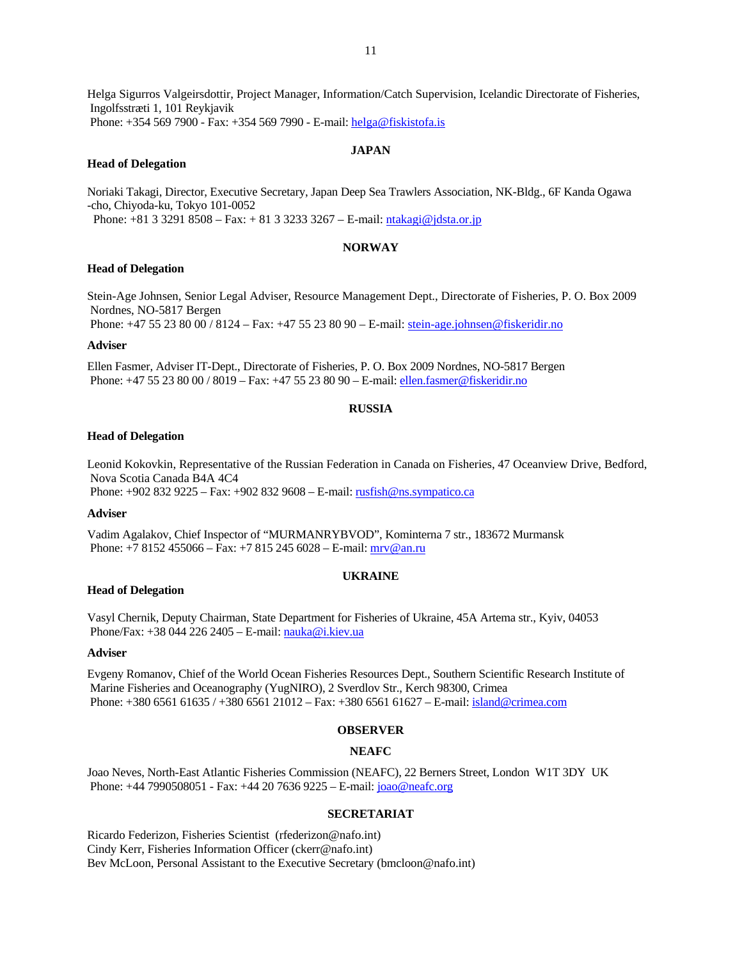Helga Sigurros Valgeirsdottir, Project Manager, Information/Catch Supervision, Icelandic Directorate of Fisheries, Ingolfsstræti 1, 101 Reykjavik Phone: +354 569 7900 - Fax: +354 569 7990 - E-mail: helga@fiskistofa.is

#### **JAPAN**

#### **Head of Delegation**

Noriaki Takagi, Director, Executive Secretary, Japan Deep Sea Trawlers Association, NK-Bldg., 6F Kanda Ogawa -cho, Chiyoda-ku, Tokyo 101-0052

Phone: +81 3 3291 8508 – Fax: + 81 3 3233 3267 – E-mail: ntakagi@jdsta.or.jp

# **NORWAY**

#### **Head of Delegation**

Stein-Age Johnsen, Senior Legal Adviser, Resource Management Dept., Directorate of Fisheries, P. O. Box 2009 Nordnes, NO-5817 Bergen

Phone: +47 55 23 80 00 / 8124 – Fax: +47 55 23 80 90 – E-mail: stein-age.johnsen@fiskeridir.no

#### **Adviser**

Ellen Fasmer, Adviser IT-Dept., Directorate of Fisheries, P. O. Box 2009 Nordnes, NO-5817 Bergen Phone: +47 55 23 80 00 / 8019 – Fax: +47 55 23 80 90 – E-mail: ellen.fasmer@fiskeridir.no

#### **RUSSIA**

# **Head of Delegation**

Leonid Kokovkin, Representative of the Russian Federation in Canada on Fisheries, 47 Oceanview Drive, Bedford, Nova Scotia Canada B4A 4C4 Phone: +902 832 9225 – Fax: +902 832 9608 – E-mail: rusfish@ns.sympatico.ca

#### **Adviser**

Vadim Agalakov, Chief Inspector of "MURMANRYBVOD", Kominterna 7 str., 183672 Murmansk Phone: +7 8152 455066 – Fax: +7 815 245 6028 – E-mail: mrv@an.ru

# **UKRAINE**

# **Head of Delegation**

Vasyl Chernik, Deputy Chairman, State Department for Fisheries of Ukraine, 45A Artema str., Kyiv, 04053 Phone/Fax: +38 044 226 2405 – E-mail: nauka@i.kiev.ua

#### **Adviser**

Evgeny Romanov, Chief of the World Ocean Fisheries Resources Dept., Southern Scientific Research Institute of Marine Fisheries and Oceanography (YugNIRO), 2 Sverdlov Str., Kerch 98300, Crimea Phone: +380 6561 61635 / +380 6561 21012 – Fax: +380 6561 61627 – E-mail: island@crimea.com

# **OBSERVER**

# **NEAFC**

Joao Neves, North-East Atlantic Fisheries Commission (NEAFC), 22 Berners Street, London W1T 3DY UK Phone: +44 7990508051 - Fax: +44 20 7636 9225 – E-mail: joao@neafc.org

#### **SECRETARIAT**

Ricardo Federizon, Fisheries Scientist (rfederizon@nafo.int) Cindy Kerr, Fisheries Information Officer (ckerr@nafo.int) Bev McLoon, Personal Assistant to the Executive Secretary (bmcloon@nafo.int)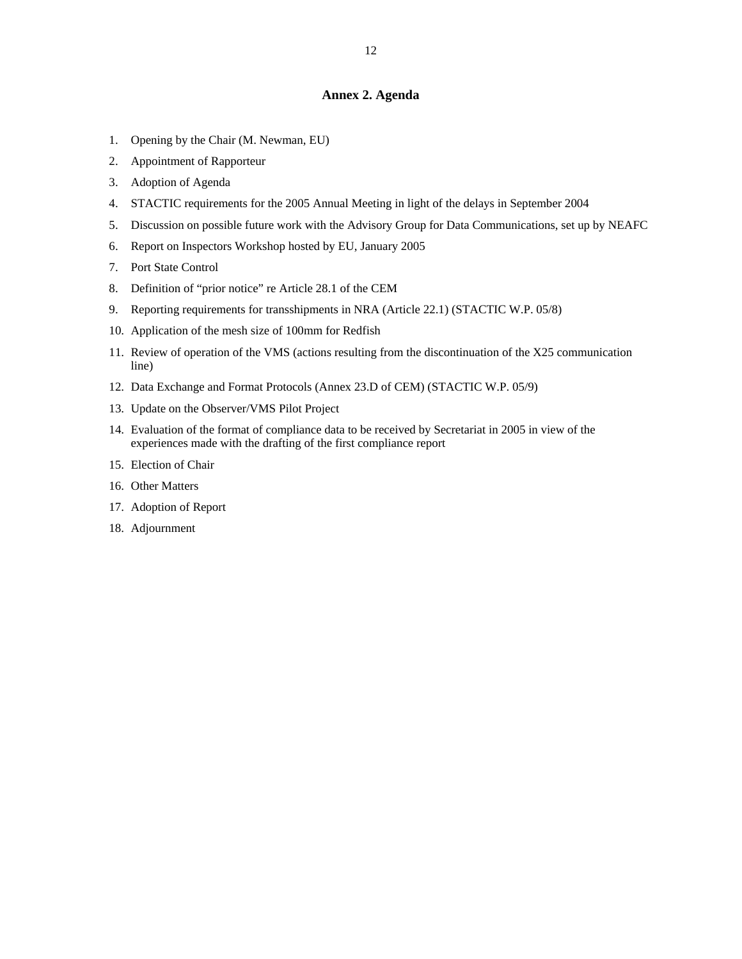# **Annex 2. Agenda**

- 1. Opening by the Chair (M. Newman, EU)
- 2. Appointment of Rapporteur
- 3. Adoption of Agenda
- 4. STACTIC requirements for the 2005 Annual Meeting in light of the delays in September 2004
- 5. Discussion on possible future work with the Advisory Group for Data Communications, set up by NEAFC
- 6. Report on Inspectors Workshop hosted by EU, January 2005
- 7. Port State Control
- 8. Definition of "prior notice" re Article 28.1 of the CEM
- 9. Reporting requirements for transshipments in NRA (Article 22.1) (STACTIC W.P. 05/8)
- 10. Application of the mesh size of 100mm for Redfish
- 11. Review of operation of the VMS (actions resulting from the discontinuation of the X25 communication line)
- 12. Data Exchange and Format Protocols (Annex 23.D of CEM) (STACTIC W.P. 05/9)
- 13. Update on the Observer/VMS Pilot Project
- 14. Evaluation of the format of compliance data to be received by Secretariat in 2005 in view of the experiences made with the drafting of the first compliance report
- 15. Election of Chair
- 16. Other Matters
- 17. Adoption of Report
- 18. Adjournment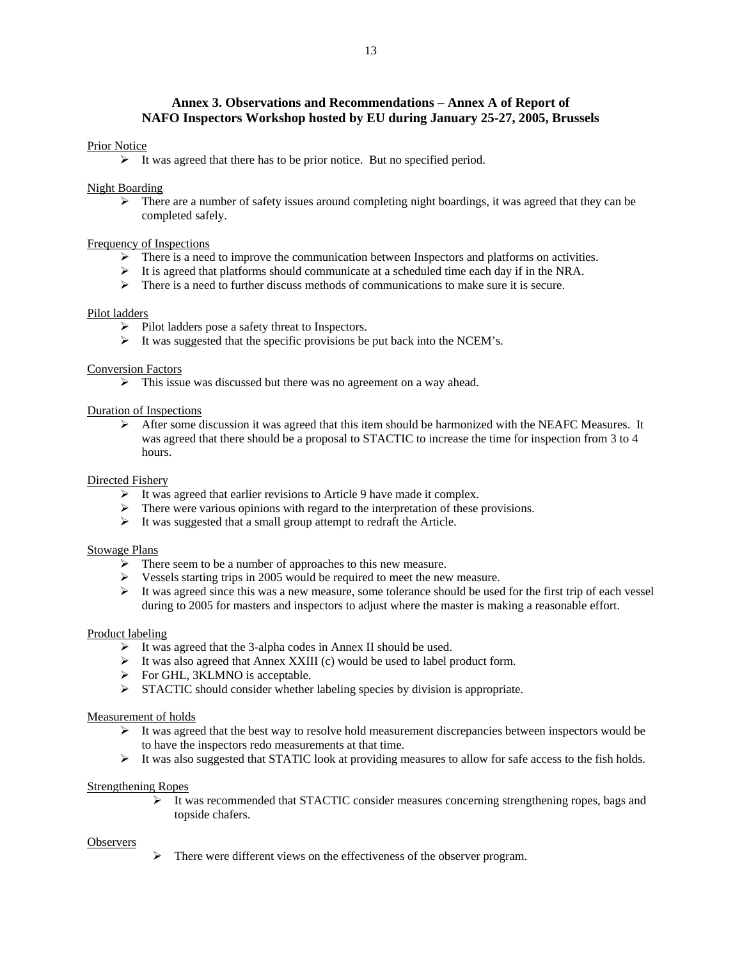# **Annex 3. Observations and Recommendations – Annex A of Report of NAFO Inspectors Workshop hosted by EU during January 25-27, 2005, Brussels**

# Prior Notice

 $\triangleright$  It was agreed that there has to be prior notice. But no specified period.

#### Night Boarding

 $\triangleright$  There are a number of safety issues around completing night boardings, it was agreed that they can be completed safely.

#### Frequency of Inspections

- $\triangleright$  There is a need to improve the communication between Inspectors and platforms on activities.
- $\triangleright$  It is agreed that platforms should communicate at a scheduled time each day if in the NRA.
- $\triangleright$  There is a need to further discuss methods of communications to make sure it is secure.

#### Pilot ladders

- ¾ Pilot ladders pose a safety threat to Inspectors.
- $\triangleright$  It was suggested that the specific provisions be put back into the NCEM's.

#### Conversion Factors

 $\triangleright$  This issue was discussed but there was no agreement on a way ahead.

#### Duration of Inspections

 $\triangleright$  After some discussion it was agreed that this item should be harmonized with the NEAFC Measures. It was agreed that there should be a proposal to STACTIC to increase the time for inspection from 3 to 4 hours.

# Directed Fishery

- $\triangleright$  It was agreed that earlier revisions to Article 9 have made it complex.
- $\triangleright$  There were various opinions with regard to the interpretation of these provisions.
- $\triangleright$  It was suggested that a small group attempt to redraft the Article.

#### Stowage Plans

- $\triangleright$  There seem to be a number of approaches to this new measure.
- ¾ Vessels starting trips in 2005 would be required to meet the new measure.
- $\triangleright$  It was agreed since this was a new measure, some tolerance should be used for the first trip of each vessel during to 2005 for masters and inspectors to adjust where the master is making a reasonable effort.

#### Product labeling

- $\triangleright$  It was agreed that the 3-alpha codes in Annex II should be used.
- ¾ It was also agreed that Annex XXIII (c) would be used to label product form.
- ¾ For GHL, 3KLMNO is acceptable.
- $\triangleright$  STACTIC should consider whether labeling species by division is appropriate.

# Measurement of holds

- $\triangleright$  It was agreed that the best way to resolve hold measurement discrepancies between inspectors would be to have the inspectors redo measurements at that time.
- ¾ It was also suggested that STATIC look at providing measures to allow for safe access to the fish holds.

#### Strengthening Ropes

 $\triangleright$  It was recommended that STACTIC consider measures concerning strengthening ropes, bags and topside chafers.

#### **Observers**

 $\triangleright$  There were different views on the effectiveness of the observer program.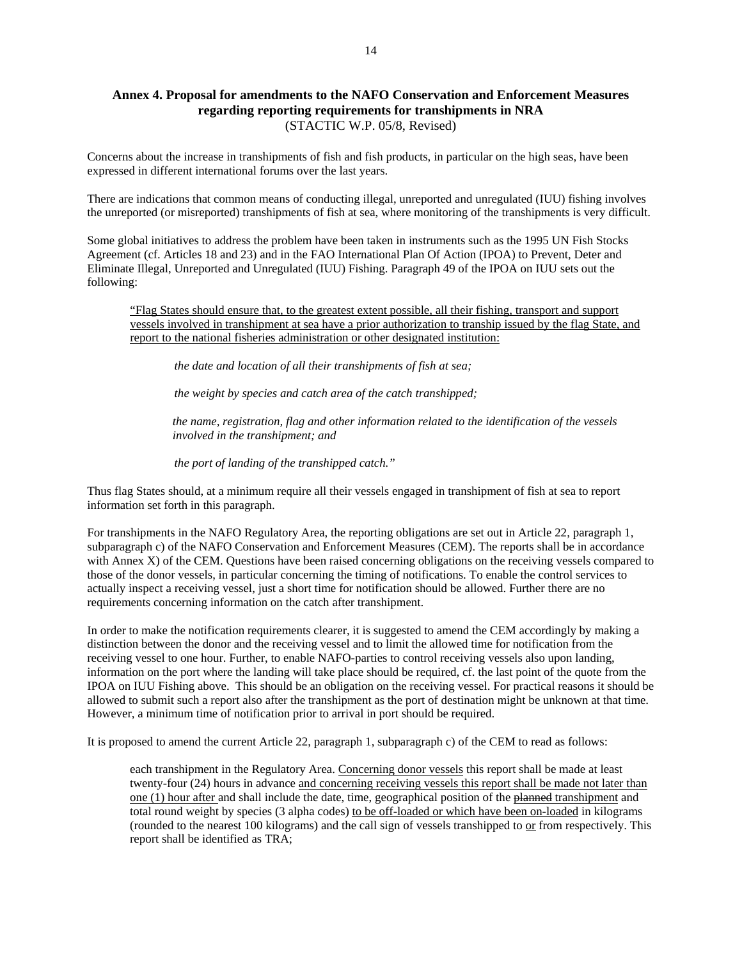# **Annex 4. Proposal for amendments to the NAFO Conservation and Enforcement Measures regarding reporting requirements for transhipments in NRA**  (STACTIC W.P. 05/8, Revised)

Concerns about the increase in transhipments of fish and fish products, in particular on the high seas, have been expressed in different international forums over the last years.

There are indications that common means of conducting illegal, unreported and unregulated (IUU) fishing involves the unreported (or misreported) transhipments of fish at sea, where monitoring of the transhipments is very difficult.

Some global initiatives to address the problem have been taken in instruments such as the 1995 UN Fish Stocks Agreement (cf. Articles 18 and 23) and in the FAO International Plan Of Action (IPOA) to Prevent, Deter and Eliminate Illegal, Unreported and Unregulated (IUU) Fishing. Paragraph 49 of the IPOA on IUU sets out the following:

"Flag States should ensure that, to the greatest extent possible, all their fishing, transport and support vessels involved in transhipment at sea have a prior authorization to tranship issued by the flag State, and report to the national fisheries administration or other designated institution:

 *the date and location of all their transhipments of fish at sea;* 

 *the weight by species and catch area of the catch transhipped;* 

*the name, registration, flag and other information related to the identification of the vessels involved in the transhipment; and* 

 *the port of landing of the transhipped catch."* 

Thus flag States should, at a minimum require all their vessels engaged in transhipment of fish at sea to report information set forth in this paragraph.

For transhipments in the NAFO Regulatory Area, the reporting obligations are set out in Article 22, paragraph 1, subparagraph c) of the NAFO Conservation and Enforcement Measures (CEM). The reports shall be in accordance with Annex X) of the CEM. Questions have been raised concerning obligations on the receiving vessels compared to those of the donor vessels, in particular concerning the timing of notifications. To enable the control services to actually inspect a receiving vessel, just a short time for notification should be allowed. Further there are no requirements concerning information on the catch after transhipment.

In order to make the notification requirements clearer, it is suggested to amend the CEM accordingly by making a distinction between the donor and the receiving vessel and to limit the allowed time for notification from the receiving vessel to one hour. Further, to enable NAFO-parties to control receiving vessels also upon landing, information on the port where the landing will take place should be required, cf. the last point of the quote from the IPOA on IUU Fishing above. This should be an obligation on the receiving vessel. For practical reasons it should be allowed to submit such a report also after the transhipment as the port of destination might be unknown at that time. However, a minimum time of notification prior to arrival in port should be required.

It is proposed to amend the current Article 22, paragraph 1, subparagraph c) of the CEM to read as follows:

each transhipment in the Regulatory Area. Concerning donor vessels this report shall be made at least twenty-four (24) hours in advance and concerning receiving vessels this report shall be made not later than one (1) hour after and shall include the date, time, geographical position of the planned transhipment and total round weight by species (3 alpha codes) to be off-loaded or which have been on-loaded in kilograms (rounded to the nearest 100 kilograms) and the call sign of vessels transhipped to or from respectively. This report shall be identified as TRA;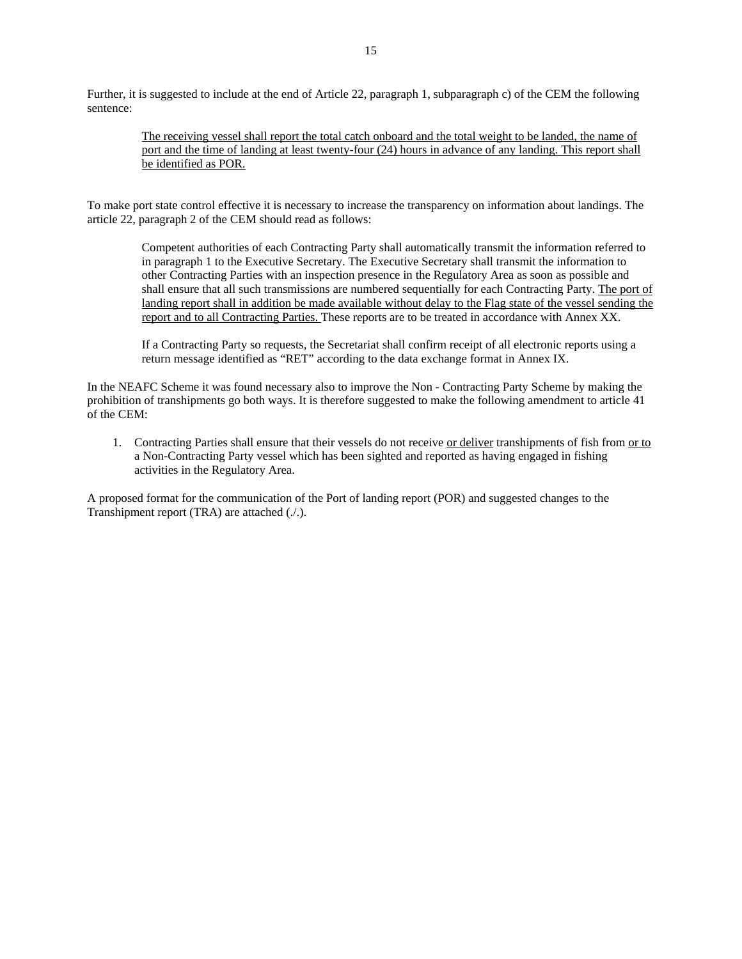Further, it is suggested to include at the end of Article 22, paragraph 1, subparagraph c) of the CEM the following sentence:

The receiving vessel shall report the total catch onboard and the total weight to be landed, the name of port and the time of landing at least twenty-four (24) hours in advance of any landing. This report shall be identified as POR.

To make port state control effective it is necessary to increase the transparency on information about landings. The article 22, paragraph 2 of the CEM should read as follows:

Competent authorities of each Contracting Party shall automatically transmit the information referred to in paragraph 1 to the Executive Secretary. The Executive Secretary shall transmit the information to other Contracting Parties with an inspection presence in the Regulatory Area as soon as possible and shall ensure that all such transmissions are numbered sequentially for each Contracting Party. The port of landing report shall in addition be made available without delay to the Flag state of the vessel sending the report and to all Contracting Parties. These reports are to be treated in accordance with Annex XX.

If a Contracting Party so requests, the Secretariat shall confirm receipt of all electronic reports using a return message identified as "RET" according to the data exchange format in Annex IX.

In the NEAFC Scheme it was found necessary also to improve the Non - Contracting Party Scheme by making the prohibition of transhipments go both ways. It is therefore suggested to make the following amendment to article 41 of the CEM:

1. Contracting Parties shall ensure that their vessels do not receive or deliver transhipments of fish from or to a Non-Contracting Party vessel which has been sighted and reported as having engaged in fishing activities in the Regulatory Area.

A proposed format for the communication of the Port of landing report (POR) and suggested changes to the Transhipment report (TRA) are attached (./.).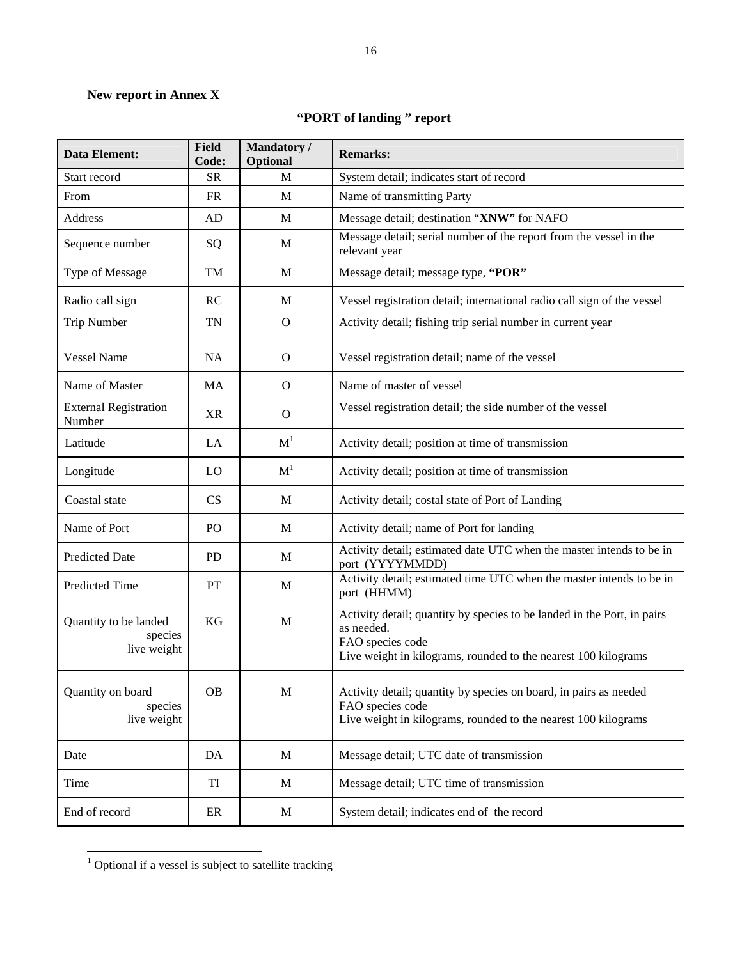# **New report in Annex X**

# **"PORT of landing " report**

| <b>Data Element:</b>                            | <b>Field</b><br>Code: | Mandatory /<br>Optional | <b>Remarks:</b>                                                                                                                                                             |
|-------------------------------------------------|-----------------------|-------------------------|-----------------------------------------------------------------------------------------------------------------------------------------------------------------------------|
| Start record                                    | <b>SR</b>             | M                       | System detail; indicates start of record                                                                                                                                    |
| From                                            | <b>FR</b>             | $\mathbf{M}$            | Name of transmitting Party                                                                                                                                                  |
| Address                                         | AD                    | M                       | Message detail; destination "XNW" for NAFO                                                                                                                                  |
| Sequence number                                 | SQ                    | M                       | Message detail; serial number of the report from the vessel in the<br>relevant year                                                                                         |
| Type of Message                                 | TM                    | M                       | Message detail; message type, "POR"                                                                                                                                         |
| Radio call sign                                 | RC                    | M                       | Vessel registration detail; international radio call sign of the vessel                                                                                                     |
| <b>Trip Number</b>                              | <b>TN</b>             | $\Omega$                | Activity detail; fishing trip serial number in current year                                                                                                                 |
| <b>Vessel Name</b>                              | <b>NA</b>             | $\mathbf{O}$            | Vessel registration detail; name of the vessel                                                                                                                              |
| Name of Master                                  | MA                    | $\mathbf{O}$            | Name of master of vessel                                                                                                                                                    |
| <b>External Registration</b><br>Number          | XR                    | $\mathbf{O}$            | Vessel registration detail; the side number of the vessel                                                                                                                   |
| Latitude                                        | LA                    | M <sup>1</sup>          | Activity detail; position at time of transmission                                                                                                                           |
| Longitude                                       | LO                    | M <sup>1</sup>          | Activity detail; position at time of transmission                                                                                                                           |
| Coastal state                                   | CS                    | M                       | Activity detail; costal state of Port of Landing                                                                                                                            |
| Name of Port                                    | PO                    | M                       | Activity detail; name of Port for landing                                                                                                                                   |
| <b>Predicted Date</b>                           | <b>PD</b>             | M                       | Activity detail; estimated date UTC when the master intends to be in<br>port (YYYYMMDD)                                                                                     |
| <b>Predicted Time</b>                           | <b>PT</b>             | M                       | Activity detail; estimated time UTC when the master intends to be in<br>port (HHMM)                                                                                         |
| Quantity to be landed<br>species<br>live weight | KG                    | M                       | Activity detail; quantity by species to be landed in the Port, in pairs<br>as needed.<br>FAO species code<br>Live weight in kilograms, rounded to the nearest 100 kilograms |
| Quantity on board<br>species<br>live weight     | <b>OB</b>             | M                       | Activity detail; quantity by species on board, in pairs as needed<br>FAO species code<br>Live weight in kilograms, rounded to the nearest 100 kilograms                     |
| Date                                            | DA                    | $\mathbf{M}$            | Message detail; UTC date of transmission                                                                                                                                    |
| Time                                            | TI                    | $\mathbf M$             | Message detail; UTC time of transmission                                                                                                                                    |
| End of record                                   | ER                    | M                       | System detail; indicates end of the record                                                                                                                                  |

 1 Optional if a vessel is subject to satellite tracking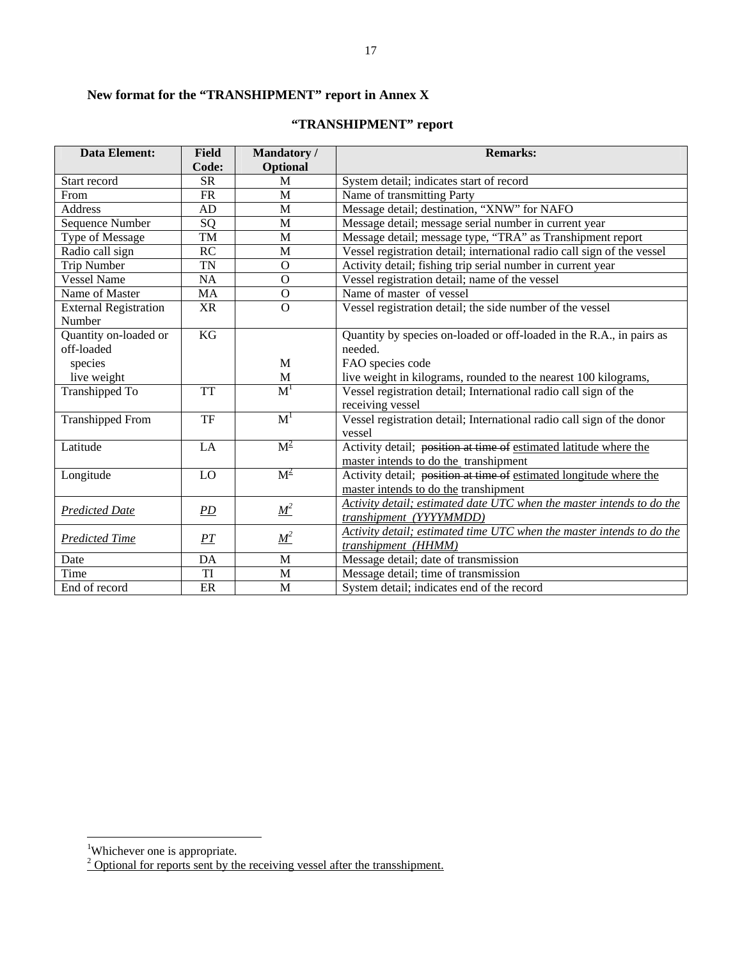# **New format for the "TRANSHIPMENT" report in Annex X**

# **"TRANSHIPMENT" report**

| <b>Data Element:</b>         | <b>Field</b> | Mandatory/       | <b>Remarks:</b>                                                         |
|------------------------------|--------------|------------------|-------------------------------------------------------------------------|
|                              | Code:        | Optional         |                                                                         |
| Start record                 | <b>SR</b>    | M                | System detail; indicates start of record                                |
| From                         | <b>FR</b>    | M                | Name of transmitting Party                                              |
| Address                      | AD           | M                | Message detail; destination, "XNW" for NAFO                             |
| Sequence Number              | SQ           | M                | Message detail; message serial number in current year                   |
| Type of Message              | TM           | M                | Message detail; message type, "TRA" as Transhipment report              |
| Radio call sign              | RC           | M                | Vessel registration detail; international radio call sign of the vessel |
| <b>Trip Number</b>           | <b>TN</b>    | $\mathbf O$      | Activity detail; fishing trip serial number in current year             |
| <b>Vessel Name</b>           | NA           | $\Omega$         | Vessel registration detail; name of the vessel                          |
| Name of Master               | MA           | $\overline{O}$   | Name of master of vessel                                                |
| <b>External Registration</b> | <b>XR</b>    | $\overline{O}$   | Vessel registration detail; the side number of the vessel               |
| Number                       |              |                  |                                                                         |
| Quantity on-loaded or        | KG           |                  | Quantity by species on-loaded or off-loaded in the R.A., in pairs as    |
| off-loaded                   |              |                  | needed.                                                                 |
| species                      |              | M                | FAO species code                                                        |
| live weight                  |              | M                | live weight in kilograms, rounded to the nearest 100 kilograms,         |
| Transhipped To               | <b>TT</b>    | M <sup>1</sup>   | Vessel registration detail; International radio call sign of the        |
|                              |              |                  | receiving vessel                                                        |
| <b>Transhipped From</b>      | TF           | $\overline{M}^1$ | Vessel registration detail; International radio call sign of the donor  |
|                              |              |                  | vessel                                                                  |
| Latitude                     | LA           | $M^2$            | Activity detail; position at time of estimated latitude where the       |
|                              |              |                  | master intends to do the transhipment                                   |
| Longitude                    | LO           | $M^2$            | Activity detail; position at time of estimated longitude where the      |
|                              |              |                  | master intends to do the transhipment                                   |
|                              |              |                  | Activity detail; estimated date UTC when the master intends to do the   |
| <b>Predicted Date</b>        | PD           | $M^2$            | transhipment (YYYYMMDD)                                                 |
|                              |              |                  | Activity detail; estimated time UTC when the master intends to do the   |
| <b>Predicted Time</b>        | PT           | $M^2$            | transhipment (HHMM)                                                     |
| Date                         | DA           | M                | Message detail; date of transmission                                    |
| Time                         | TI           | M                | Message detail; time of transmission                                    |
| End of record                | ER           | M                | System detail; indicates end of the record                              |

<sup>&</sup>lt;sup>1</sup>Whichever one is appropriate.<br><sup>2</sup> Optional for reports sent by the receiving vessel after the transshipment.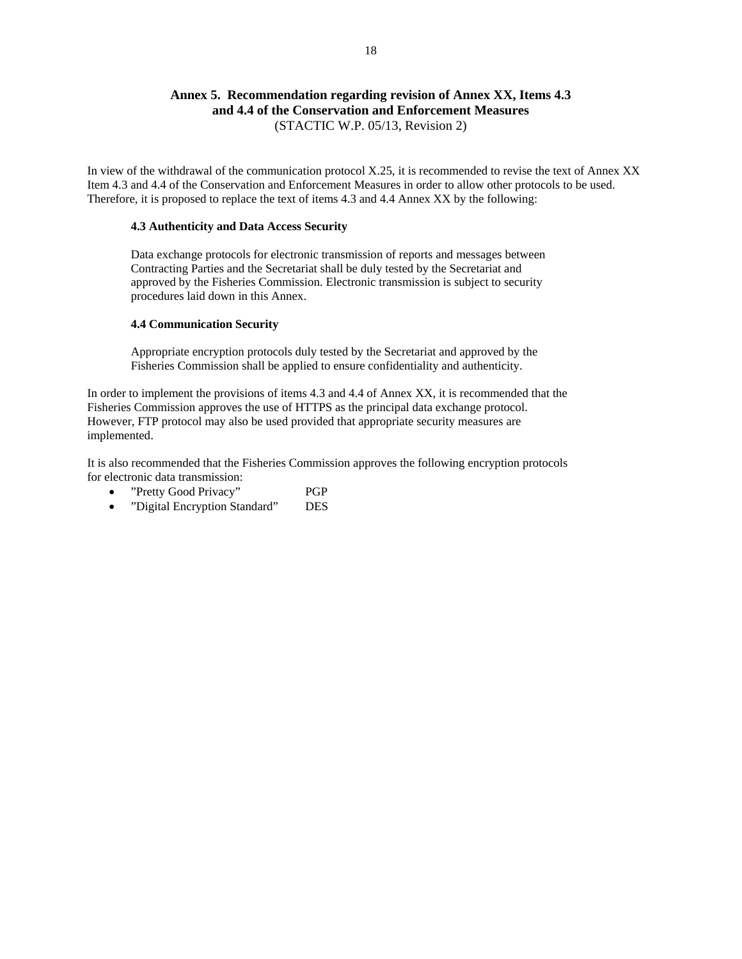# **Annex 5. Recommendation regarding revision of Annex XX, Items 4.3 and 4.4 of the Conservation and Enforcement Measures**  (STACTIC W.P. 05/13, Revision 2)

In view of the withdrawal of the communication protocol X.25, it is recommended to revise the text of Annex XX Item 4.3 and 4.4 of the Conservation and Enforcement Measures in order to allow other protocols to be used. Therefore, it is proposed to replace the text of items 4.3 and 4.4 Annex XX by the following:

# **4.3 Authenticity and Data Access Security**

Data exchange protocols for electronic transmission of reports and messages between Contracting Parties and the Secretariat shall be duly tested by the Secretariat and approved by the Fisheries Commission. Electronic transmission is subject to security procedures laid down in this Annex.

### **4.4 Communication Security**

Appropriate encryption protocols duly tested by the Secretariat and approved by the Fisheries Commission shall be applied to ensure confidentiality and authenticity.

In order to implement the provisions of items 4.3 and 4.4 of Annex XX, it is recommended that the Fisheries Commission approves the use of HTTPS as the principal data exchange protocol. However, FTP protocol may also be used provided that appropriate security measures are implemented.

It is also recommended that the Fisheries Commission approves the following encryption protocols for electronic data transmission:

- "Pretty Good Privacy" PGP
- "Digital Encryption Standard" DES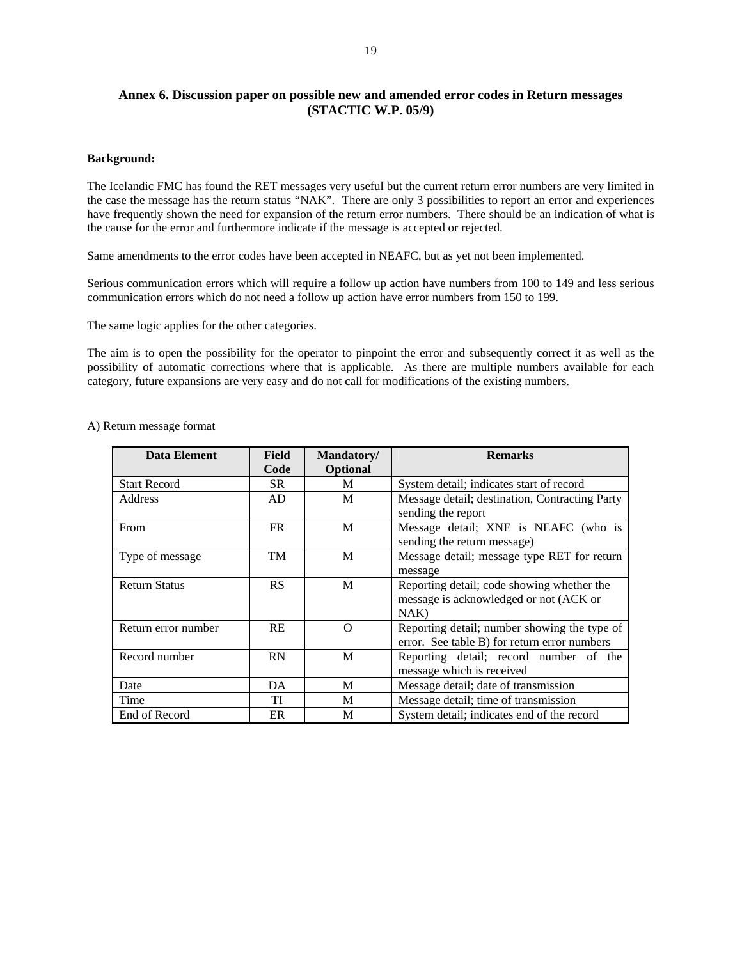# **Annex 6. Discussion paper on possible new and amended error codes in Return messages (STACTIC W.P. 05/9)**

# **Background:**

The Icelandic FMC has found the RET messages very useful but the current return error numbers are very limited in the case the message has the return status "NAK". There are only 3 possibilities to report an error and experiences have frequently shown the need for expansion of the return error numbers. There should be an indication of what is the cause for the error and furthermore indicate if the message is accepted or rejected.

Same amendments to the error codes have been accepted in NEAFC, but as yet not been implemented.

Serious communication errors which will require a follow up action have numbers from 100 to 149 and less serious communication errors which do not need a follow up action have error numbers from 150 to 199.

The same logic applies for the other categories.

The aim is to open the possibility for the operator to pinpoint the error and subsequently correct it as well as the possibility of automatic corrections where that is applicable. As there are multiple numbers available for each category, future expansions are very easy and do not call for modifications of the existing numbers.

| <b>Data Element</b>  | <b>Field</b> | Mandatory/      | <b>Remarks</b>                                                                               |  |  |  |  |  |  |  |
|----------------------|--------------|-----------------|----------------------------------------------------------------------------------------------|--|--|--|--|--|--|--|
|                      | Code         | <b>Optional</b> |                                                                                              |  |  |  |  |  |  |  |
| <b>Start Record</b>  | SR.          | M               | System detail; indicates start of record                                                     |  |  |  |  |  |  |  |
| Address              | AD           | M               | Message detail; destination, Contracting Party<br>sending the report                         |  |  |  |  |  |  |  |
| From                 | FR.          | M               | Message detail; XNE is NEAFC (who is<br>sending the return message)                          |  |  |  |  |  |  |  |
| Type of message      | TM           | M               | Message detail; message type RET for return<br>message                                       |  |  |  |  |  |  |  |
| <b>Return Status</b> | RS           | M               | Reporting detail; code showing whether the<br>message is acknowledged or not (ACK or<br>NAK  |  |  |  |  |  |  |  |
| Return error number  | <b>RE</b>    | $\Omega$        | Reporting detail; number showing the type of<br>error. See table B) for return error numbers |  |  |  |  |  |  |  |
| Record number        | RN           | M               | Reporting detail; record number of the<br>message which is received                          |  |  |  |  |  |  |  |
| Date                 | DA           | M               | Message detail; date of transmission                                                         |  |  |  |  |  |  |  |
| Time                 | TI           | M               | Message detail; time of transmission                                                         |  |  |  |  |  |  |  |
| End of Record        | ER           | M               | System detail; indicates end of the record                                                   |  |  |  |  |  |  |  |

#### A) Return message format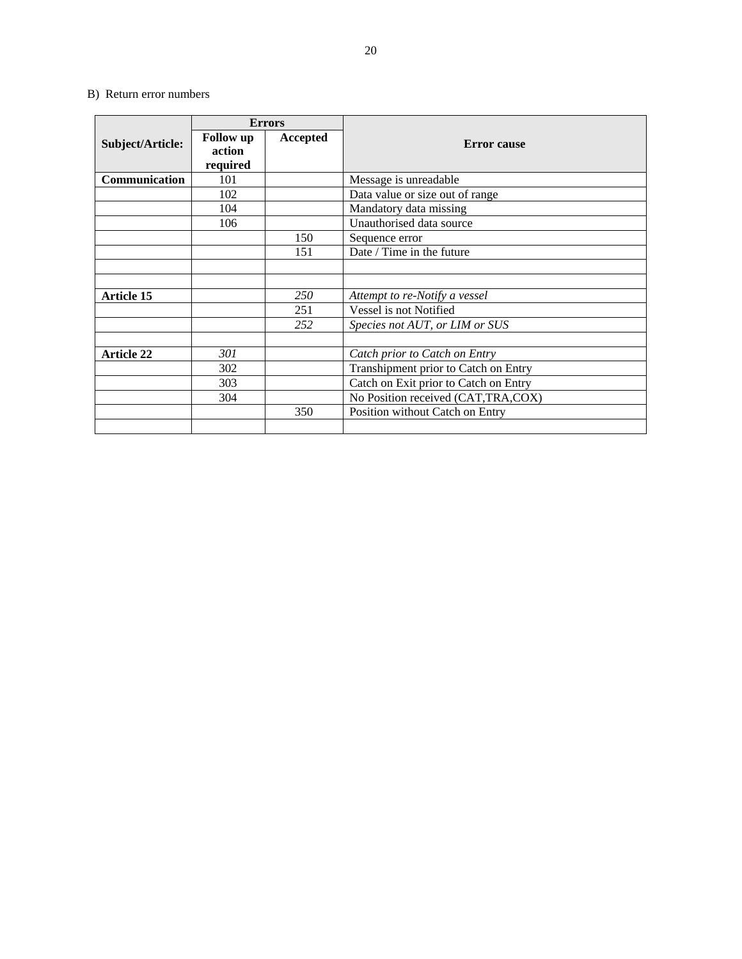# B) Return error numbers

|                   |                  | <b>Errors</b> |                                       |
|-------------------|------------------|---------------|---------------------------------------|
| Subject/Article:  | <b>Follow</b> up | Accepted      | <b>Error</b> cause                    |
|                   | action           |               |                                       |
|                   | required         |               |                                       |
| Communication     | 101              |               | Message is unreadable                 |
|                   | 102              |               | Data value or size out of range       |
|                   | 104              |               | Mandatory data missing                |
|                   | 106              |               | Unauthorised data source              |
|                   |                  | 150           | Sequence error                        |
|                   |                  | 151           | Date / Time in the future             |
|                   |                  |               |                                       |
|                   |                  |               |                                       |
| <b>Article 15</b> |                  | 250           | Attempt to re-Notify a vessel         |
|                   |                  | 251           | Vessel is not Notified                |
|                   |                  | 252           | Species not AUT, or LIM or SUS        |
|                   |                  |               |                                       |
| <b>Article 22</b> | 301              |               | Catch prior to Catch on Entry         |
|                   | 302              |               | Transhipment prior to Catch on Entry  |
|                   | 303              |               | Catch on Exit prior to Catch on Entry |
|                   | 304              |               | No Position received (CAT,TRA,COX)    |
|                   |                  | 350           | Position without Catch on Entry       |
|                   |                  |               |                                       |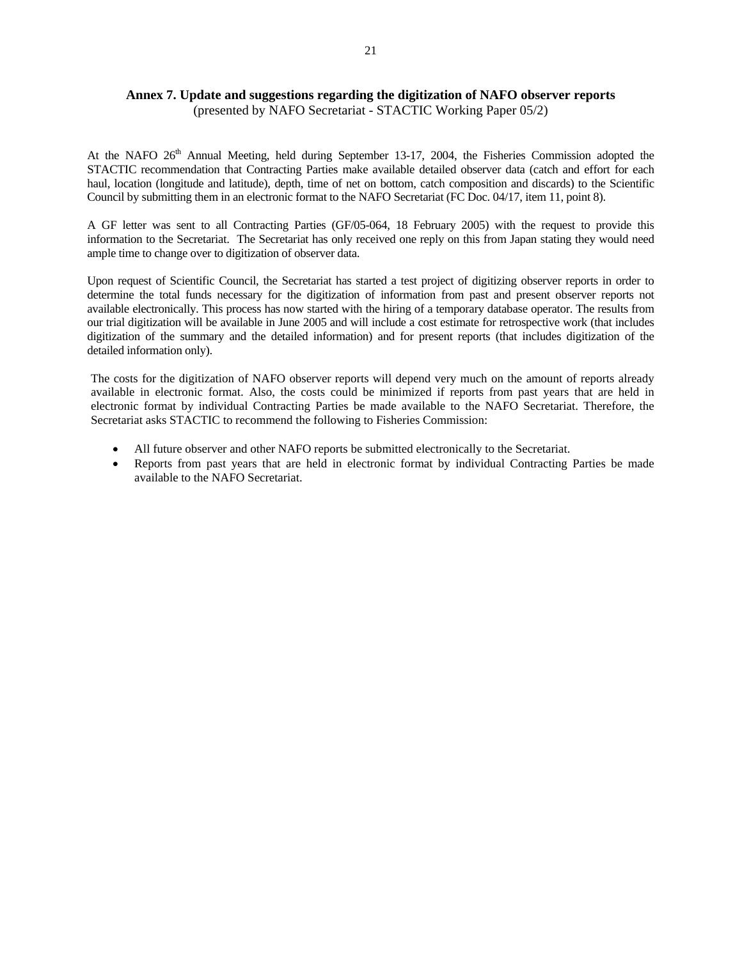# **Annex 7. Update and suggestions regarding the digitization of NAFO observer reports**

(presented by NAFO Secretariat - STACTIC Working Paper 05/2)

At the NAFO 26<sup>th</sup> Annual Meeting, held during September 13-17, 2004, the Fisheries Commission adopted the STACTIC recommendation that Contracting Parties make available detailed observer data (catch and effort for each haul, location (longitude and latitude), depth, time of net on bottom, catch composition and discards) to the Scientific Council by submitting them in an electronic format to the NAFO Secretariat (FC Doc. 04/17, item 11, point 8).

A GF letter was sent to all Contracting Parties (GF/05-064, 18 February 2005) with the request to provide this information to the Secretariat. The Secretariat has only received one reply on this from Japan stating they would need ample time to change over to digitization of observer data.

Upon request of Scientific Council, the Secretariat has started a test project of digitizing observer reports in order to determine the total funds necessary for the digitization of information from past and present observer reports not available electronically. This process has now started with the hiring of a temporary database operator. The results from our trial digitization will be available in June 2005 and will include a cost estimate for retrospective work (that includes digitization of the summary and the detailed information) and for present reports (that includes digitization of the detailed information only).

The costs for the digitization of NAFO observer reports will depend very much on the amount of reports already available in electronic format. Also, the costs could be minimized if reports from past years that are held in electronic format by individual Contracting Parties be made available to the NAFO Secretariat. Therefore, the Secretariat asks STACTIC to recommend the following to Fisheries Commission:

- All future observer and other NAFO reports be submitted electronically to the Secretariat.
- Reports from past years that are held in electronic format by individual Contracting Parties be made available to the NAFO Secretariat.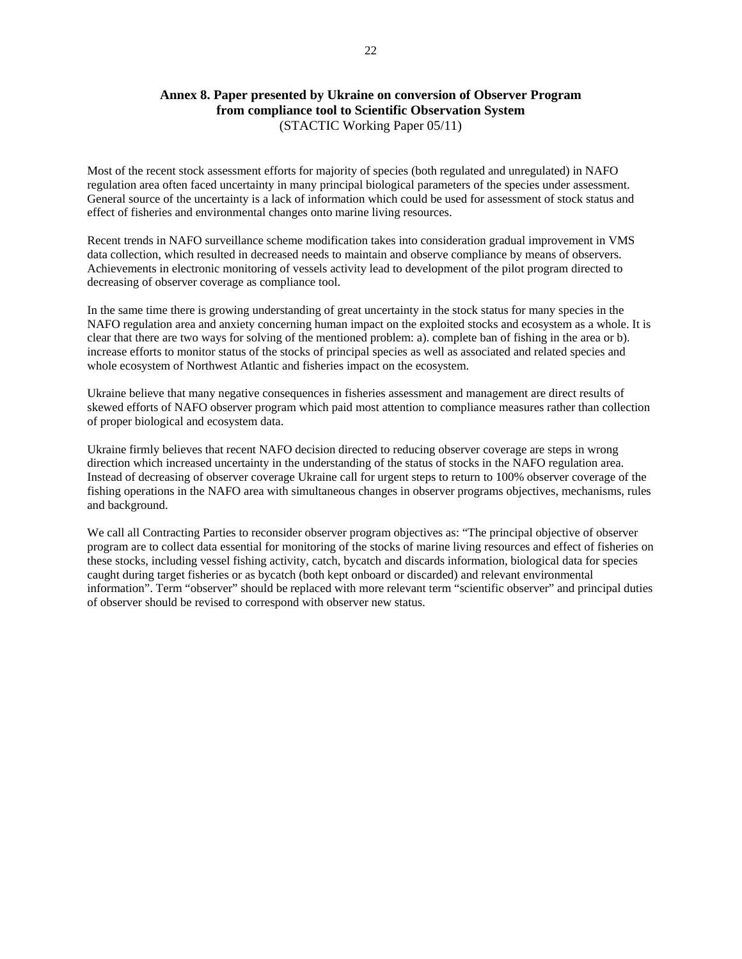# **Annex 8. Paper presented by Ukraine on conversion of Observer Program from compliance tool to Scientific Observation System**  (STACTIC Working Paper 05/11)

Most of the recent stock assessment efforts for majority of species (both regulated and unregulated) in NAFO regulation area often faced uncertainty in many principal biological parameters of the species under assessment. General source of the uncertainty is a lack of information which could be used for assessment of stock status and effect of fisheries and environmental changes onto marine living resources.

Recent trends in NAFO surveillance scheme modification takes into consideration gradual improvement in VMS data collection, which resulted in decreased needs to maintain and observe compliance by means of observers. Achievements in electronic monitoring of vessels activity lead to development of the pilot program directed to decreasing of observer coverage as compliance tool.

In the same time there is growing understanding of great uncertainty in the stock status for many species in the NAFO regulation area and anxiety concerning human impact on the exploited stocks and ecosystem as a whole. It is clear that there are two ways for solving of the mentioned problem: a). complete ban of fishing in the area or b). increase efforts to monitor status of the stocks of principal species as well as associated and related species and whole ecosystem of Northwest Atlantic and fisheries impact on the ecosystem.

Ukraine believe that many negative consequences in fisheries assessment and management are direct results of skewed efforts of NAFO observer program which paid most attention to compliance measures rather than collection of proper biological and ecosystem data.

Ukraine firmly believes that recent NAFO decision directed to reducing observer coverage are steps in wrong direction which increased uncertainty in the understanding of the status of stocks in the NAFO regulation area. Instead of decreasing of observer coverage Ukraine call for urgent steps to return to 100% observer coverage of the fishing operations in the NAFO area with simultaneous changes in observer programs objectives, mechanisms, rules and background.

We call all Contracting Parties to reconsider observer program objectives as: "The principal objective of observer program are to collect data essential for monitoring of the stocks of marine living resources and effect of fisheries on these stocks, including vessel fishing activity, catch, bycatch and discards information, biological data for species caught during target fisheries or as bycatch (both kept onboard or discarded) and relevant environmental information". Term "observer" should be replaced with more relevant term "scientific observer" and principal duties of observer should be revised to correspond with observer new status.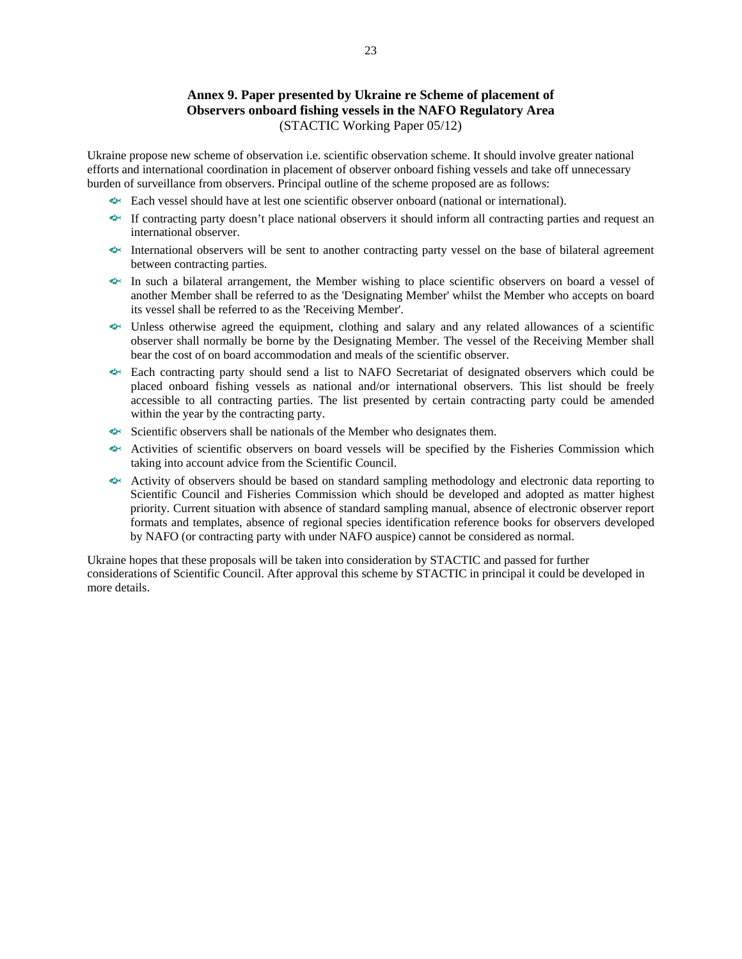# **Annex 9. Paper presented by Ukraine re Scheme of placement of Observers onboard fishing vessels in the NAFO Regulatory Area**  (STACTIC Working Paper 05/12)

Ukraine propose new scheme of observation i.e. scientific observation scheme. It should involve greater national efforts and international coordination in placement of observer onboard fishing vessels and take off unnecessary burden of surveillance from observers. Principal outline of the scheme proposed are as follows:

- Each vessel should have at lest one scientific observer onboard (national or international).
- If contracting party doesn't place national observers it should inform all contracting parties and request an international observer.
- International observers will be sent to another contracting party vessel on the base of bilateral agreement between contracting parties.
- In such a bilateral arrangement, the Member wishing to place scientific observers on board a vessel of another Member shall be referred to as the 'Designating Member' whilst the Member who accepts on board its vessel shall be referred to as the 'Receiving Member'.
- Unless otherwise agreed the equipment, clothing and salary and any related allowances of a scientific observer shall normally be borne by the Designating Member. The vessel of the Receiving Member shall bear the cost of on board accommodation and meals of the scientific observer.
- Each contracting party should send a list to NAFO Secretariat of designated observers which could be placed onboard fishing vessels as national and/or international observers. This list should be freely accessible to all contracting parties. The list presented by certain contracting party could be amended within the year by the contracting party.
- $\triangle$  Scientific observers shall be nationals of the Member who designates them.
- Activities of scientific observers on board vessels will be specified by the Fisheries Commission which taking into account advice from the Scientific Council.
- Activity of observers should be based on standard sampling methodology and electronic data reporting to Scientific Council and Fisheries Commission which should be developed and adopted as matter highest priority. Current situation with absence of standard sampling manual, absence of electronic observer report formats and templates, absence of regional species identification reference books for observers developed by NAFO (or contracting party with under NAFO auspice) cannot be considered as normal.

Ukraine hopes that these proposals will be taken into consideration by STACTIC and passed for further considerations of Scientific Council. After approval this scheme by STACTIC in principal it could be developed in more details.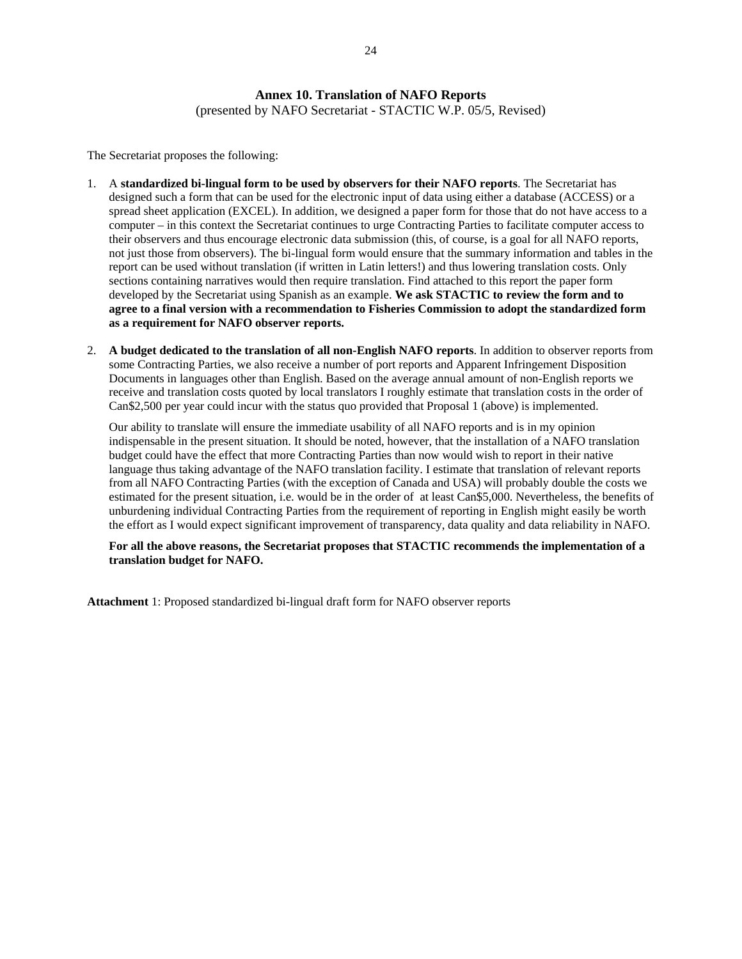# **Annex 10. Translation of NAFO Reports**

(presented by NAFO Secretariat - STACTIC W.P. 05/5, Revised)

The Secretariat proposes the following:

- 1. A **standardized bi-lingual form to be used by observers for their NAFO reports**. The Secretariat has designed such a form that can be used for the electronic input of data using either a database (ACCESS) or a spread sheet application (EXCEL). In addition, we designed a paper form for those that do not have access to a computer – in this context the Secretariat continues to urge Contracting Parties to facilitate computer access to their observers and thus encourage electronic data submission (this, of course, is a goal for all NAFO reports, not just those from observers). The bi-lingual form would ensure that the summary information and tables in the report can be used without translation (if written in Latin letters!) and thus lowering translation costs. Only sections containing narratives would then require translation. Find attached to this report the paper form developed by the Secretariat using Spanish as an example. **We ask STACTIC to review the form and to agree to a final version with a recommendation to Fisheries Commission to adopt the standardized form as a requirement for NAFO observer reports.**
- 2. **A budget dedicated to the translation of all non-English NAFO reports**. In addition to observer reports from some Contracting Parties, we also receive a number of port reports and Apparent Infringement Disposition Documents in languages other than English. Based on the average annual amount of non-English reports we receive and translation costs quoted by local translators I roughly estimate that translation costs in the order of Can\$2,500 per year could incur with the status quo provided that Proposal 1 (above) is implemented.

Our ability to translate will ensure the immediate usability of all NAFO reports and is in my opinion indispensable in the present situation. It should be noted, however, that the installation of a NAFO translation budget could have the effect that more Contracting Parties than now would wish to report in their native language thus taking advantage of the NAFO translation facility. I estimate that translation of relevant reports from all NAFO Contracting Parties (with the exception of Canada and USA) will probably double the costs we estimated for the present situation, i.e. would be in the order of at least Can\$5,000. Nevertheless, the benefits of unburdening individual Contracting Parties from the requirement of reporting in English might easily be worth the effort as I would expect significant improvement of transparency, data quality and data reliability in NAFO.

**For all the above reasons, the Secretariat proposes that STACTIC recommends the implementation of a translation budget for NAFO.** 

**Attachment** 1: Proposed standardized bi-lingual draft form for NAFO observer reports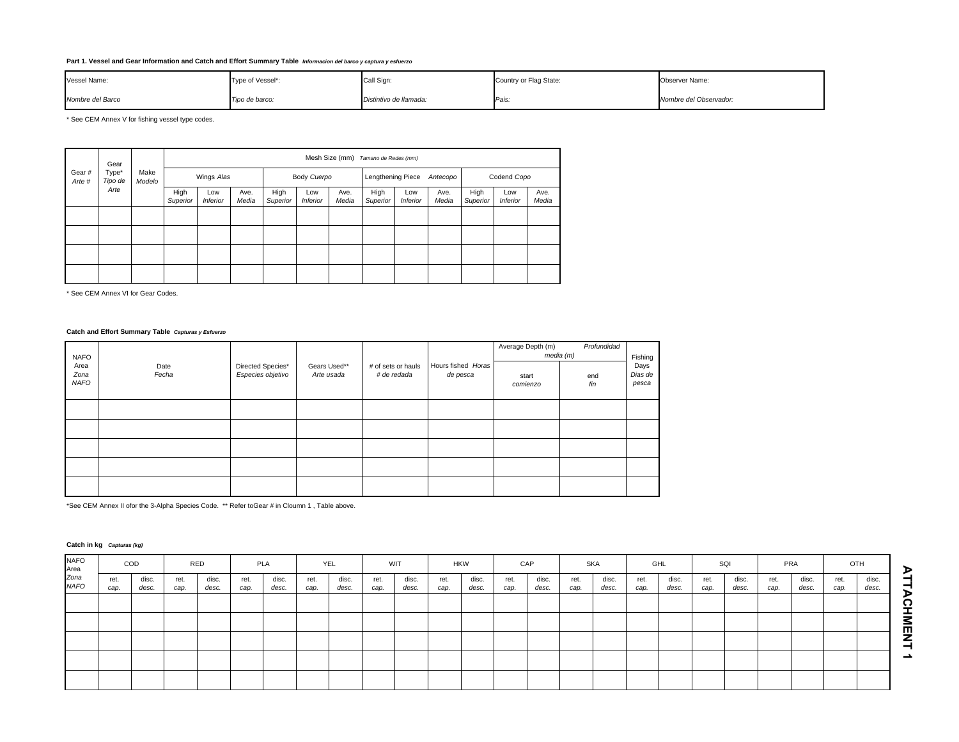#### **Part 1. Vessel and Gear Information and Catch and Effort Summary Table** *Informacion del barco y captura y esfuerzo*

| Vessel Name:     | Type of Vessel*: | Call Sign:             | Country or Flag State: | Observer Name:         |
|------------------|------------------|------------------------|------------------------|------------------------|
| Nombre del Barco | Tipo de barco:   | Distintivo de llamada: | Pais.                  | Nombre del Observador: |

\* See CEM Annex V for fishing vessel type codes.

|                 | Gear             |                |                  | Mesh Size (mm) Tamano de Redes (mm) |               |                  |                        |               |                               |                        |               |                  |                        |               |  |  |
|-----------------|------------------|----------------|------------------|-------------------------------------|---------------|------------------|------------------------|---------------|-------------------------------|------------------------|---------------|------------------|------------------------|---------------|--|--|
| Gear#<br>Arte # | Type*<br>Tipo de | Make<br>Modelo |                  | Wings Alas                          |               |                  | Body Cuerpo            |               | Lengthening Piece<br>Antecopo |                        |               | Codend Copo      |                        |               |  |  |
|                 | Arte             |                | High<br>Superior | Low<br><b>Inferior</b>              | Ave.<br>Media | High<br>Superior | Low<br><b>Inferior</b> | Ave.<br>Media | High<br>Superior              | Low<br><b>Inferior</b> | Ave.<br>Media | High<br>Superior | Low<br><b>Inferior</b> | Ave.<br>Media |  |  |
|                 |                  |                |                  |                                     |               |                  |                        |               |                               |                        |               |                  |                        |               |  |  |
|                 |                  |                |                  |                                     |               |                  |                        |               |                               |                        |               |                  |                        |               |  |  |
|                 |                  |                |                  |                                     |               |                  |                        |               |                               |                        |               |                  |                        |               |  |  |
|                 |                  |                |                  |                                     |               |                  |                        |               |                               |                        |               |                  |                        |               |  |  |

\* See CEM Annex VI for Gear Codes.

#### **Catch and Effort Summary Table** *Capturas y Esfuerzo*

| <b>NAFO</b>                 |               |                                        |                            |                                   |                                | Average Depth (m)<br>media (m) | Fishing    |                          |
|-----------------------------|---------------|----------------------------------------|----------------------------|-----------------------------------|--------------------------------|--------------------------------|------------|--------------------------|
| Area<br>Zona<br><b>NAFO</b> | Date<br>Fecha | Directed Species*<br>Especies objetivo | Gears Used**<br>Arte usada | # of sets or hauls<br># de redada | Hours fished Horas<br>de pesca | start<br>comienzo              | end<br>fin | Days<br>Dias de<br>pesca |
|                             |               |                                        |                            |                                   |                                |                                |            |                          |
|                             |               |                                        |                            |                                   |                                |                                |            |                          |
|                             |               |                                        |                            |                                   |                                |                                |            |                          |
|                             |               |                                        |                            |                                   |                                |                                |            |                          |
|                             |               |                                        |                            |                                   |                                |                                |            |                          |

\*See CEM Annex II ofor the 3-Alpha Species Code. \*\* Refer toGear # in Cloumn 1 , Table above.

#### **Catch in kg** *Capturas (kg)*

| NAFO<br>Area<br><i>Zona</i> | COD          |                | RED          |                | PLA          |                | YEL          |                | WIT          |                | <b>HKW</b>   |                | CAP          |                | SKA          |                | GHL          |                | SQI          |                | PRA          |                | OTH          |                |
|-----------------------------|--------------|----------------|--------------|----------------|--------------|----------------|--------------|----------------|--------------|----------------|--------------|----------------|--------------|----------------|--------------|----------------|--------------|----------------|--------------|----------------|--------------|----------------|--------------|----------------|
| <b>NAFO</b>                 | ret.<br>cap. | disc.<br>desc. | ret.<br>cap. | disc.<br>desc. | ret.<br>cap. | disc.<br>desc. | ret.<br>cap. | disc.<br>desc. | ret.<br>cap. | disc.<br>desc. | ret.<br>cap. | disc.<br>desc. | ret.<br>cap. | disc.<br>desc. | ret.<br>cap. | disc.<br>desc. | ret.<br>cap. | disc.<br>desc. | ret.<br>cap. | disc.<br>desc. | ret.<br>cap. | disc.<br>desc. | ret.<br>cap. | disc.<br>desc. |
|                             |              |                |              |                |              |                |              |                |              |                |              |                |              |                |              |                |              |                |              |                |              |                |              |                |
|                             |              |                |              |                |              |                |              |                |              |                |              |                |              |                |              |                |              |                |              |                |              |                |              |                |
|                             |              |                |              |                |              |                |              |                |              |                |              |                |              |                |              |                |              |                |              |                |              |                |              |                |
|                             |              |                |              |                |              |                |              |                |              |                |              |                |              |                |              |                |              |                |              |                |              |                |              |                |
|                             |              |                |              |                |              |                |              |                |              |                |              |                |              |                |              |                |              |                |              |                |              |                |              |                |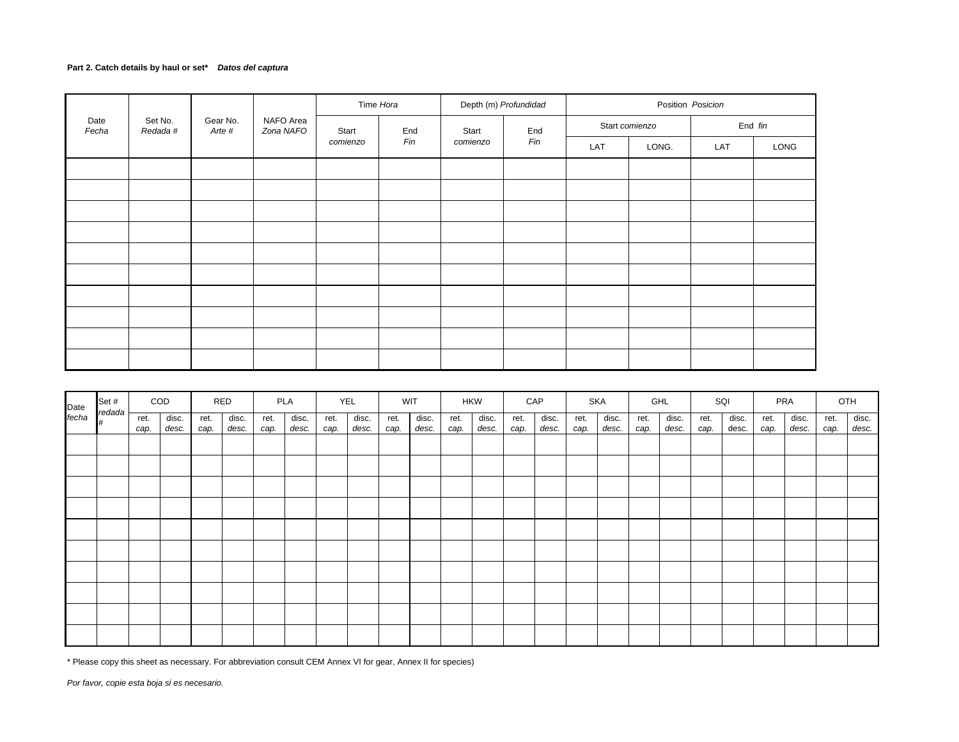#### **Part 2. Catch details by haul or set\*** *Datos del captura*

|               |                    |                    |                        |          | Time Hora |          | Depth (m) Profundidad | Position Posicion |       |         |      |  |
|---------------|--------------------|--------------------|------------------------|----------|-----------|----------|-----------------------|-------------------|-------|---------|------|--|
| Date<br>Fecha | Set No.<br>Redada# | Gear No.<br>Arte # | NAFO Area<br>Zona NAFO | Start    | End       | Start    | End                   | Start comienzo    |       | End fin |      |  |
|               |                    |                    |                        | comienzo | Fin       | comienzo | Fin                   | LAT               | LONG. | LAT     | LONG |  |
|               |                    |                    |                        |          |           |          |                       |                   |       |         |      |  |
|               |                    |                    |                        |          |           |          |                       |                   |       |         |      |  |
|               |                    |                    |                        |          |           |          |                       |                   |       |         |      |  |
|               |                    |                    |                        |          |           |          |                       |                   |       |         |      |  |
|               |                    |                    |                        |          |           |          |                       |                   |       |         |      |  |
|               |                    |                    |                        |          |           |          |                       |                   |       |         |      |  |
|               |                    |                    |                        |          |           |          |                       |                   |       |         |      |  |
|               |                    |                    |                        |          |           |          |                       |                   |       |         |      |  |
|               |                    |                    |                        |          |           |          |                       |                   |       |         |      |  |
|               |                    |                    |                        |          |           |          |                       |                   |       |         |      |  |

| Date<br>fecha | Set#         |              | COD            |              | RED            | <b>PLA</b>   |                | YEL          |                | WIT          |                |              | <b>HKW</b>     |              | CAP            |              | SKA            |              | GHL            | SQI          |                |              | <b>PRA</b>     |              | OTH            |
|---------------|--------------|--------------|----------------|--------------|----------------|--------------|----------------|--------------|----------------|--------------|----------------|--------------|----------------|--------------|----------------|--------------|----------------|--------------|----------------|--------------|----------------|--------------|----------------|--------------|----------------|
|               | redada<br>l# | ret.<br>cap. | disc.<br>desc. | ret.<br>сар. | disc.<br>desc. | ret.<br>сар. | disc.<br>desc. | ret.<br>cap. | disc.<br>desc. | ret.<br>cap. | disc.<br>desc. | ret.<br>cap. | disc.<br>desc. | ret.<br>cap. | disc.<br>desc. | ret.<br>cap. | disc.<br>desc. | ret.<br>cap. | disc.<br>desc. | ret.<br>cap. | disc.<br>desc. | ret.<br>cap. | disc.<br>desc. | ret.<br>cap. | disc.<br>desc. |
|               |              |              |                |              |                |              |                |              |                |              |                |              |                |              |                |              |                |              |                |              |                |              |                |              |                |
|               |              |              |                |              |                |              |                |              |                |              |                |              |                |              |                |              |                |              |                |              |                |              |                |              |                |
|               |              |              |                |              |                |              |                |              |                |              |                |              |                |              |                |              |                |              |                |              |                |              |                |              |                |
|               |              |              |                |              |                |              |                |              |                |              |                |              |                |              |                |              |                |              |                |              |                |              |                |              |                |
|               |              |              |                |              |                |              |                |              |                |              |                |              |                |              |                |              |                |              |                |              |                |              |                |              |                |
|               |              |              |                |              |                |              |                |              |                |              |                |              |                |              |                |              |                |              |                |              |                |              |                |              |                |
|               |              |              |                |              |                |              |                |              |                |              |                |              |                |              |                |              |                |              |                |              |                |              |                |              |                |
|               |              |              |                |              |                |              |                |              |                |              |                |              |                |              |                |              |                |              |                |              |                |              |                |              |                |
|               |              |              |                |              |                |              |                |              |                |              |                |              |                |              |                |              |                |              |                |              |                |              |                |              |                |
|               |              |              |                |              |                |              |                |              |                |              |                |              |                |              |                |              |                |              |                |              |                |              |                |              |                |

\* Please copy this sheet as necessary. For abbreviation consult CEM Annex VI for gear, Annex II for species)